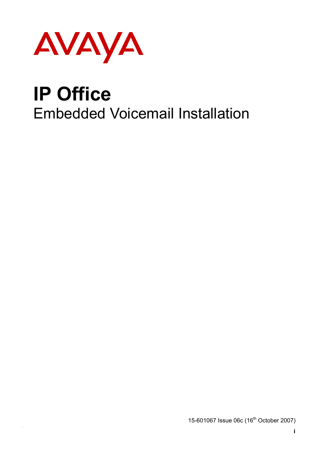

# **IP Office**  Embedded Voicemail Installation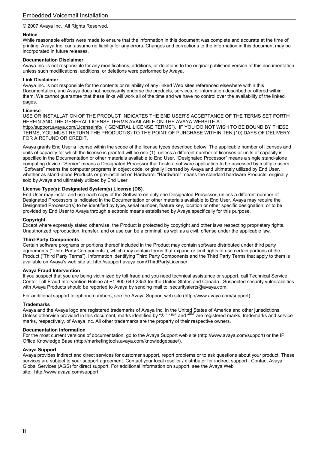#### © 2007 Avaya Inc. All Rights Reserved.

#### **Notice**

While reasonable efforts were made to ensure that the information in this document was complete and accurate at the time of printing, Avaya Inc. can assume no liability for any errors. Changes and corrections to the information in this document may be incorporated in future releases.

#### **Documentation Disclaimer**

Avaya Inc. is not responsible for any modifications, additions, or deletions to the original published version of this documentation unless such modifications, additions, or deletions were performed by Avaya.

#### **Link Disclaimer**

Avaya Inc. is not responsible for the contents or reliability of any linked Web sites referenced elsewhere within this Documentation, and Avaya does not necessarily endorse the products, services, or information described or offered within them. We cannot guarantee that these links will work all of the time and we have no control over the availability of the linked pages.

#### **License**

USE OR INSTALLATION OF THE PRODUCT INDICATES THE END USER'S ACCEPTANCE OF THE TERMS SET FORTH HEREIN AND THE GENERAL LICENSE TERMS AVAILABLE ON THE AVAYA WEBSITE AT <http://support.avaya.com/LicenseInfo/>("GENERAL LICENSE TERMS"). IF YOU DO NOT WISH TO BE BOUND BY THESE TERMS, YOU MUST RETURN THE PRODUCT(S) TO THE POINT OF PURCHASE WITHIN TEN (10) DAYS OF DELIVERY FOR A REFUND OR CREDIT.

Avaya grants End User a license within the scope of the license types described below. The applicable number of licenses and units of capacity for which the license is granted will be one (1), unless a different number of licenses or units of capacity is specified in the Documentation or other materials available to End User. "Designated Processor" means a single stand-alone computing device. "Server" means a Designated Processor that hosts a software application to be accessed by multiple users. "Software" means the computer programs in object code, originally licensed by Avaya and ultimately utilized by End User, whether as stand-alone Products or pre-installed on Hardware. "Hardware" means the standard hardware Products, originally sold by Avaya and ultimately utilized by End User.

#### **License Type(s): Designated System(s) License (DS).**

End User may install and use each copy of the Software on only one Designated Processor, unless a different number of Designated Processors is indicated in the Documentation or other materials available to End User. Avaya may require the Designated Processor(s) to be identified by type, serial number, feature key, location or other specific designation, or to be provided by End User to Avaya through electronic means established by Avaya specifically for this purpose.

#### **Copyright**

Except where expressly stated otherwise, the Product is protected by copyright and other laws respecting proprietary rights. Unauthorized reproduction, transfer, and or use can be a criminal, as well as a civil, offense under the applicable law.

#### **Third-Party Components**

Certain software programs or portions thereof included in the Product may contain software distributed under third party agreements ("Third Party Components"), which may contain terms that expand or limit rights to use certain portions of the Product ("Third Party Terms"). Information identifying Third Party Components and the Third Party Terms that apply to them is available on Avaya's web site at: <http://support.avaya.com/ThirdPartyLicense/>

#### **Avaya Fraud Intervention**

If you suspect that you are being victimized by toll fraud and you need technical assistance or support, call Technical Service Center Toll Fraud Intervention Hotline at +1-800-643-2353 for the United States and Canada. Suspected security vulnerabilities with Avaya Products should be reported to Avaya by sending mail to: [securityalerts@avaya.com.](mailto:securityalerts@avaya.com) 

For additional support telephone numbers, see the Avaya Support web site (http://www.avaya.com/support).

#### **Trademarks**

Avaya and the Avaya logo are registered trademarks of Avaya Inc. in the United States of America and other jurisdictions. Unless otherwise provided in this document, marks identified by "®," "™" and "SM" are registered marks, trademarks and service marks, respectively, of Avaya Inc. All other trademarks are the property of their respective owners.

#### **Documentation information**

For the most current versions of documentation, go to the Avaya Support web site (http://www.avaya.com/support) or the IP Office Knowledge Base (http://marketingtools.avaya.com/knowledgebase/).

#### **Avaya Support**

Avaya provides indirect and direct services for customer support, report problems or to ask questions about your product. These services are subject to your support agreement. Contact your local reseller / distributor for indirect support . Contact Avaya Global Services (AGS) for direct support. For additional information on support, see the Avaya Web site: [http://www.avaya.com/support.](http://www.avaya.com/support)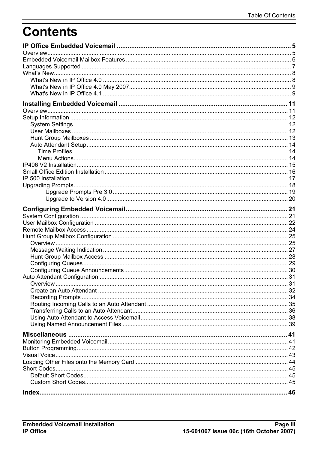# **Contents**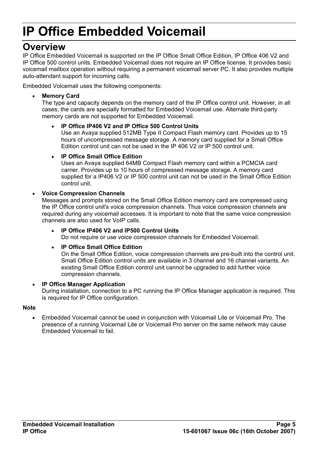# **IP Office Embedded Voicemail**

## **Overview**

IP Office Embedded Voicemail is supported on the IP Office Small Office Edition, IP Office 406 V2 and IP Office 500 control units. Embedded Voicemail does not require an IP Office license. It provides basic voicemail mailbox operation without requiring a permanent voicemail server PC. It also provides multiple auto-attendant support for incoming calls.

Embedded Voicemail uses the following components:

#### **Memory Card**

The type and capacity depends on the memory card of the IP Office control unit. However, in all cases, the cards are specially formatted for Embedded Voicemail use. Alternate third-party memory cards are not supported for Embedded Voicemail.

#### • **IP Office IP406 V2 and IP Office 500 Control Units**

Use an Avaya supplied 512MB Type II Compact Flash memory card. Provides up to 15 hours of uncompressed message storage. A memory card supplied for a Small Office Edition control unit can not be used in the IP 406 V2 or IP 500 control unit.

#### • **IP Office Small Office Edition**

Uses an Avaya supplied 64MB Compact Flash memory card within a PCMCIA card carrier. Provides up to 10 hours of compressed message storage. A memory card supplied for a IP406 V2 or IP 500 control unit can not be used in the Small Office Edition control unit.

#### • **Voice Compression Channels**

Messages and prompts stored on the Small Office Edition memory card are compressed using the IP Office control unit's voice compression channels. Thus voice compression channels are required during any voicemail accesses. It is important to note that the same voice compression channels are also used for VoIP calls.

• **IP Office IP406 V2 and IP500 Control Units**

Do not require or use voice compression channels for Embedded Voicemail.

#### • **IP Office Small Office Edition**

On the Small Office Edition, voice compression channels are pre-built into the control unit. Small Office Edition control units are available in 3 channel and 16 channel variants. An existing Small Office Edition control unit cannot be upgraded to add further voice compression channels.

#### • **IP Office Manager Application**

During installation, connection to a PC running the IP Office Manager application is required. This is required for IP Office configuration.

#### **Note**

• Embedded Voicemail cannot be used in conjunction with Voicemail Lite or Voicemail Pro. The presence of a running Voicemail Lite or Voicemail Pro server on the same network may cause Embedded Voicemail to fail.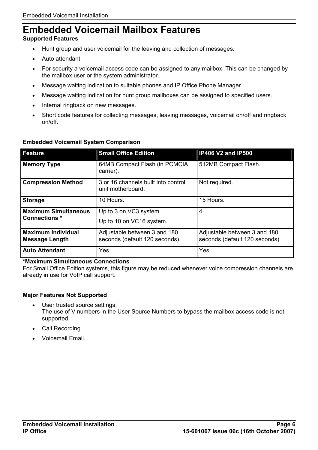# **Embedded Voicemail Mailbox Features**

#### **Supported Features**

- Hunt group and user voicemail for the leaving and collection of messages.
- Auto attendant.
- For security a voicemail access code can be assigned to any mailbox. This can be changed by the mailbox user or the system administrator.
- Message waiting indication to suitable phones and IP Office Phone Manager.
- Message waiting indication for hunt group mailboxes can be assigned to specified users.
- Internal ringback on new messages.
- Short code features for collecting messages, leaving messages, voicemail on/off and ringback on/off.

| <b>Feature</b>                                     | <b>Small Office Edition</b>                                    | <b>IP406 V2 and IP500</b>                                      |
|----------------------------------------------------|----------------------------------------------------------------|----------------------------------------------------------------|
| <b>Memory Type</b>                                 | 64MB Compact Flash (in PCMCIA<br>carrier).                     | 512MB Compact Flash.                                           |
| <b>Compression Method</b>                          | 3 or 16 channels built into control<br>unit motherboard.       | Not required.                                                  |
| <b>Storage</b>                                     | 10 Hours.                                                      | 15 Hours.                                                      |
| <b>Maximum Simultaneous</b><br>Connections *       | Up to 3 on VC3 system.<br>Up to 10 on VC16 system.             | 4                                                              |
| <b>Maximum Individual</b><br><b>Message Length</b> | Adjustable between 3 and 180<br>seconds (default 120 seconds). | Adjustable between 3 and 180<br>seconds (default 120 seconds). |
| <b>Auto Attendant</b>                              | Yes                                                            | Yes                                                            |

#### **Embedded Voicemail System Comparison**

#### **\*Maximum Simultaneous Connections**

For Small Office Edition systems, this figure may be reduced whenever voice compression channels are already in use for VoIP call support.

#### **Major Features Not Supported**

- User trusted source settings. The use of V numbers in the User Source Numbers to bypass the mailbox access code is not supported.
- Call Recording.
- Voicemail Email.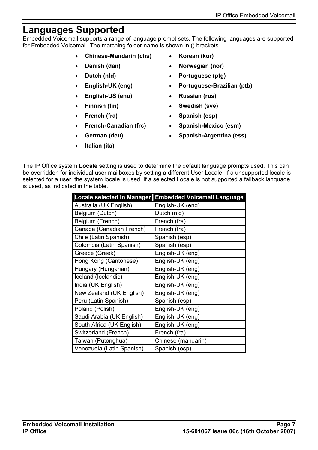# **Languages Supported**

Embedded Voicemail supports a range of language prompt sets. The following languages are supported for Embedded Voicemail. The matching folder name is shown in () brackets.

- **Chinese-Mandarin (chs)**
- **Danish (dan)**
- **Dutch (nld)**
- **English-UK (eng)**
- **English-US (enu)**
- **Finnish (fin)**
- **French (fra)**
- **French-Canadian (frc)**
- **German (deu)**
- **Italian (ita)**
- **Korean (kor)**
- **Norwegian (nor)**
- **Portuguese (ptg)**
- **Portuguese-Brazilian (ptb)**
- **Russian (rus)**
- **Swedish (sve)**
- **Spanish (esp)**
- **Spanish-Mexico (esm)**
- **Spanish-Argentina (ess)**

The IP Office system **Locale** setting is used to determine the default language prompts used. This can be overridden for individual user mailboxes by setting a different User Locale. If a unsupported locale is selected for a user, the system locale is used. If a selected Locale is not supported a fallback language is used, as indicated in the table.

| <b>Locale selected in Manager</b> | <b>Embedded Voicemail Language</b> |
|-----------------------------------|------------------------------------|
| Australia (UK English)            | English-UK (eng)                   |
| Belgium (Dutch)                   | Dutch (nld)                        |
| Belgium (French)                  | French (fra)                       |
| Canada (Canadian French)          | French (fra)                       |
| Chile (Latin Spanish)             | Spanish (esp)                      |
| Colombia (Latin Spanish)          | Spanish (esp)                      |
| Greece (Greek)                    | English-UK (eng)                   |
| Hong Kong (Cantonese)             | English-UK (eng)                   |
| Hungary (Hungarian)               | English-UK (eng)                   |
| Iceland (Icelandic)               | English-UK (eng)                   |
| India (UK English)                | English-UK (eng)                   |
| New Zealand (UK English)          | English-UK (eng)                   |
| Peru (Latin Spanish)              | Spanish (esp)                      |
| Poland (Polish)                   | English-UK (eng)                   |
| Saudi Arabia (UK English)         | English-UK (eng)                   |
| South Africa (UK English)         | English-UK (eng)                   |
| Switzerland (French)              | French (fra)                       |
| Taiwan (Putonghua)                | Chinese (mandarin)                 |
| Venezuela (Latin Spanish)         | Spanish (esp)                      |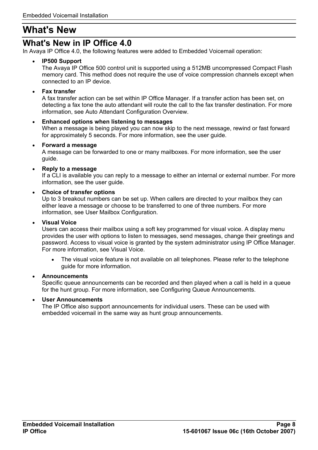# **What's New**

### **What's New in IP Office 4.0**

In Avaya IP Office 4.0, the following features were added to Embedded Voicemail operation:

#### • **IP500 Support**

The Avaya IP Office 500 control unit is supported using a 512MB uncompressed Compact Flash memory card. This method does not require the use of voice compression channels except when connected to an IP device.

#### • **Fax transfer**

A fax transfer action can be set within IP Office Manager. If a transfer action has been set, on detecting a fax tone the auto attendant will route the call to the fax transfer destination. For more information, see Auto Attendant Configuration Overview.

#### • **Enhanced options when listening to messages**

When a message is being played you can now skip to the next message, rewind or fast forward for approximately 5 seconds. For more information, see the user guide.

#### • **Forward a message**

A message can be forwarded to one or many mailboxes. For more information, see the user guide.

#### • **Reply to a message**

If a CLI is available you can reply to a message to either an internal or external number. For more information, see the user guide.

#### • **Choice of transfer options**

Up to 3 breakout numbers can be set up. When callers are directed to your mailbox they can either leave a message or choose to be transferred to one of three numbers. For more information, see User Mailbox Configuration.

#### • **Visual Voice**

Users can access their mailbox using a soft key programmed for visual voice. A display menu provides the user with options to listen to messages, send messages, change their greetings and password. Access to visual voice is granted by the system administrator using IP Office Manager. For more information, see Visual Voice.

• The visual voice feature is not available on all telephones. Please refer to the telephone guide for more information.

#### • **Announcements**

Specific queue announcements can be recorded and then played when a call is held in a queue for the hunt group. For more information, see Configuring Queue Announcements.

#### • **User Announcements**

The IP Office also support announcements for individual users. These can be used with embedded voicemail in the same way as hunt group announcements.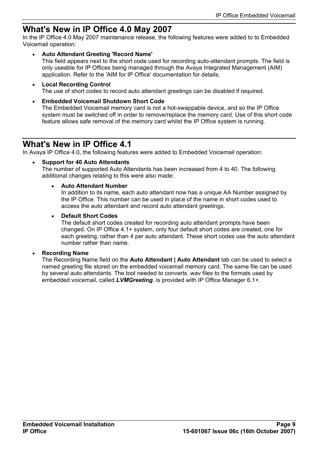## **What's New in IP Office 4.0 May 2007**

In the IP Office 4.0 May 2007 maintenance release, the following features were added to to Embedded Voicemail operation:

• **Auto Attendant Greeting 'Record Name'**

This field appears next to the short code used for recording auto-attendant prompts. The field is only useable for IP Offices being managed through the Avaya Integrated Management (AIM) application. Refer to the 'AIM for IP Office' documentation for details.

- **Local Recording Control** The use of short codes to record auto attendant greetings can be disabled if required.
- **Embedded Voicemail Shutdown Short Code**

The Embedded Voicemail memory card is not a hot-swappable device, and so the IP Office system must be switched off in order to remove/replace the memory card. Use of this short code feature allows safe removal of the memory card whilst the IP Office system is running.

### **What's New in IP Office 4.1**

In Avaya IP Office 4.0, the following features were added to Embedded Voicemail operation:

• **Support for 40 Auto Attendants**

The number of supported Auto Attendants has been increased from 4 to 40. The following additional changes relating to this were also made:

• **Auto Attendant Number**

In addition to its name, each auto attendant now has a unique AA Number assigned by the IP Office. This number can be used in place of the name in short codes used to access the auto attendant and record auto attendant greetings.

#### • **Default Short Codes**

The default short codes created for recording auto attendant prompts have been changed. On IP Office 4.1+ system, only four default short codes are created, one for each greeting, rather than 4 per auto attendant. These short codes use the auto attendant number rather than name.

#### • **Recording Name**

The Recording Name field on the **Auto Attendant | Auto Attendant** tab can be used to select a named greeting file stored on the embedded voicemail memory card. The same file can be used by several auto attendants. The tool needed to converts .wav files to the formats used by embedded voicemail, called *LVMGreeting*, is provided with IP Office Manager 6.1+.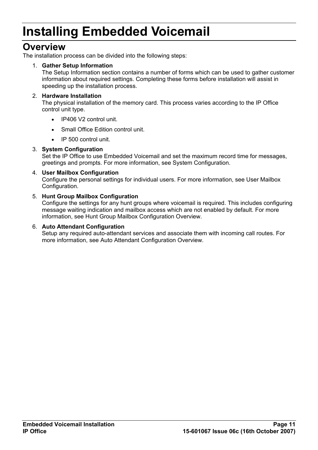# **Installing Embedded Voicemail**

## **Overview**

The installation process can be divided into the following steps:

#### 1. **Gather Setup Information**

The Setup Information section contains a number of forms which can be used to gather customer information about required settings. Completing these forms before installation will assist in speeding up the installation process.

#### 2. **Hardware Installation**

The physical installation of the memory card. This process varies according to the IP Office control unit type.

- IP406 V2 control unit.
- Small Office Edition control unit.
- IP 500 control unit.

#### 3. **System Configuration**

Set the IP Office to use Embedded Voicemail and set the maximum record time for messages, greetings and prompts. For more information, see System Configuration.

#### 4. **User Mailbox Configuration**

Configure the personal settings for individual users. For more information, see User Mailbox Configuration.

#### 5. **Hunt Group Mailbox Configuration**

Configure the settings for any hunt groups where voicemail is required. This includes configuring message waiting indication and mailbox access which are not enabled by default. For more information, see Hunt Group Mailbox Configuration Overview.

#### 6. **Auto Attendant Configuration**

Setup any required auto-attendant services and associate them with incoming call routes. For more information, see Auto Attendant Configuration Overview.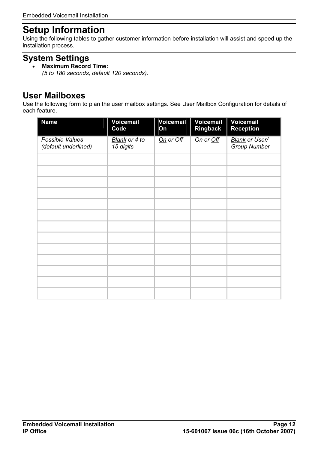## **Setup Information**

Using the following tables to gather customer information before installation will assist and speed up the installation process.

### **System Settings**

• Maximum Record Time: *(5 to 180 seconds, default 120 seconds).*

### **User Mailboxes**

Use the following form to plan the user mailbox settings. See User Mailbox Configuration for details of each feature.

| <b>Name</b>                             | <b>Voicemail</b><br>Code   | <b>Voicemail</b><br>On | <b>Voicemail</b><br><b>Ringback</b> | <b>Voicemail</b><br><b>Reception</b>         |
|-----------------------------------------|----------------------------|------------------------|-------------------------------------|----------------------------------------------|
| Possible Values<br>(default underlined) | Blank or 4 to<br>15 digits | On or Off              | On or Off                           | <b>Blank</b> or User/<br><b>Group Number</b> |
|                                         |                            |                        |                                     |                                              |
|                                         |                            |                        |                                     |                                              |
|                                         |                            |                        |                                     |                                              |
|                                         |                            |                        |                                     |                                              |
|                                         |                            |                        |                                     |                                              |
|                                         |                            |                        |                                     |                                              |
|                                         |                            |                        |                                     |                                              |
|                                         |                            |                        |                                     |                                              |
|                                         |                            |                        |                                     |                                              |
|                                         |                            |                        |                                     |                                              |
|                                         |                            |                        |                                     |                                              |
|                                         |                            |                        |                                     |                                              |
|                                         |                            |                        |                                     |                                              |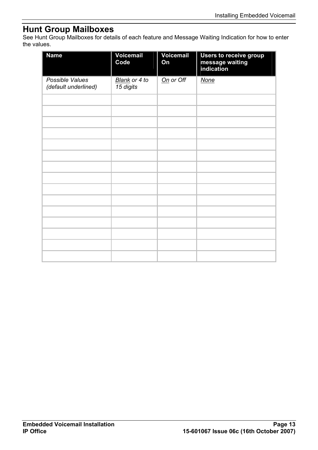## **Hunt Group Mailboxes**

See Hunt Group Mailboxes for details of each feature and Message Waiting Indication for how to enter the values.

| <b>Name</b>                             | <b>Voicemail</b><br>Code   | Voicemail<br>On | Users to receive group<br>message waiting<br>indication |
|-----------------------------------------|----------------------------|-----------------|---------------------------------------------------------|
| Possible Values<br>(default underlined) | Blank or 4 to<br>15 digits | On or Off       | <b>None</b>                                             |
|                                         |                            |                 |                                                         |
|                                         |                            |                 |                                                         |
|                                         |                            |                 |                                                         |
|                                         |                            |                 |                                                         |
|                                         |                            |                 |                                                         |
|                                         |                            |                 |                                                         |
|                                         |                            |                 |                                                         |
|                                         |                            |                 |                                                         |
|                                         |                            |                 |                                                         |
|                                         |                            |                 |                                                         |
|                                         |                            |                 |                                                         |
|                                         |                            |                 |                                                         |
|                                         |                            |                 |                                                         |
|                                         |                            |                 |                                                         |
|                                         |                            |                 |                                                         |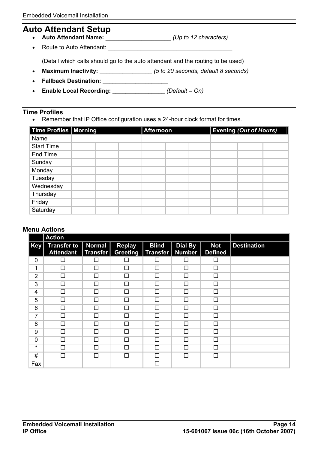### **Auto Attendant Setup**

- **Auto Attendant Name:** \_\_\_\_\_\_\_\_\_\_\_\_\_\_\_\_\_\_\_\_ *(Up to 12 characters)*
- Route to Auto Attendant: \_\_\_\_\_\_\_\_\_\_\_\_\_\_\_\_\_\_\_\_\_\_\_\_\_\_\_\_\_\_\_\_\_\_\_\_\_\_\_\_\_\_\_\_\_\_\_\_\_\_\_\_\_\_\_\_\_\_\_\_\_\_

(Detail which calls should go to the auto attendant and the routing to be used)

- **Maximum Inactivity:** \_\_\_\_\_\_\_\_\_\_\_\_\_\_\_\_ *(5 to 20 seconds, default 8 seconds)*
- **Fallback Destination:** \_\_\_\_\_\_\_\_\_\_\_\_\_\_\_\_\_\_\_\_
- **Enable Local Recording:** \_\_\_\_\_\_\_\_\_\_\_\_\_\_\_\_ *(Default = On)*

#### **Time Profiles**

• Remember that IP Office configuration uses a 24-hour clock format for times.

| Time Profiles Morning |  | <b>Afternoon</b> |  | <b>Evening (Out of Hours)</b> |  |
|-----------------------|--|------------------|--|-------------------------------|--|
| Name                  |  |                  |  |                               |  |
| <b>Start Time</b>     |  |                  |  |                               |  |
| End Time              |  |                  |  |                               |  |
| Sunday                |  |                  |  |                               |  |
| Monday                |  |                  |  |                               |  |
| Tuesday               |  |                  |  |                               |  |
| Wednesday             |  |                  |  |                               |  |
| Thursday              |  |                  |  |                               |  |
| Friday                |  |                  |  |                               |  |
| Saturday              |  |                  |  |                               |  |

#### **Menu Actions**

|                  | <b>Action</b>                     |                    |                                      |              |                          |                              |                    |
|------------------|-----------------------------------|--------------------|--------------------------------------|--------------|--------------------------|------------------------------|--------------------|
| Key <sub>l</sub> | Transfer to  <br><b>Attendant</b> | Normal<br>Transfer | <b>Replay</b><br>Greeting   Transfer | <b>Blind</b> | <b>Dial By</b><br>Number | <b>Not</b><br><b>Defined</b> | <b>Destination</b> |
| $\overline{0}$   | $\mathcal{L}$                     |                    | П                                    | П            | П                        | п                            |                    |
| 1                | □                                 | П                  | $\Box$                               | $\Box$       | $\Box$                   | □                            |                    |
| $\overline{2}$   | □                                 | П                  | □                                    | □            | □                        | П                            |                    |
| 3                | $\Box$                            | П                  | $\Box$                               | □            | П                        | П                            |                    |
| $\overline{4}$   | □                                 | П                  | □                                    | $\Box$       | $\Box$                   | П                            |                    |
| 5                | □                                 | П                  | □                                    | □            | □                        | □                            |                    |
| 6                | $\Box$                            | П                  | $\Box$                               | □            | П                        | П                            |                    |
| $\overline{7}$   | □                                 | П                  | $\Box$                               | □            | П                        | $\Box$                       |                    |
| 8                | $\Box$                            | П                  | □                                    | □            | □                        | $\Box$                       |                    |
| 9                | □                                 | П                  | □                                    | □            | П                        | □                            |                    |
| $\mathbf 0$      | $\Box$                            | П                  | П                                    | П            | П                        | П                            |                    |
| $\star$          | □                                 | П                  | □                                    | □            | □                        | П                            |                    |
| #                | $\Box$                            | П                  | □                                    | □            | □                        | □                            |                    |
| Fax              |                                   |                    |                                      | □            |                          |                              |                    |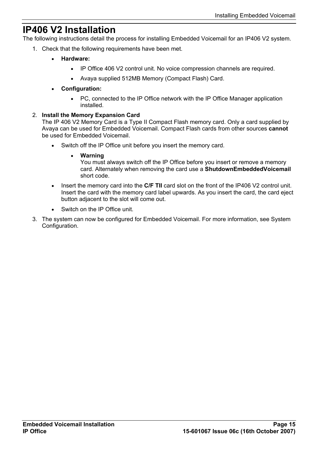# **IP406 V2 Installation**

The following instructions detail the process for installing Embedded Voicemail for an IP406 V2 system.

- 1. Check that the following requirements have been met.
	- **Hardware:** 
		- IP Office 406 V2 control unit. No voice compression channels are required.
		- Avaya supplied 512MB Memory (Compact Flash) Card.
	- **Configuration:** 
		- PC, connected to the IP Office network with the IP Office Manager application installed.

#### 2. **Install the Memory Expansion Card**

The IP 406 V2 Memory Card is a Type II Compact Flash memory card. Only a card supplied by Avaya can be used for Embedded Voicemail. Compact Flash cards from other sources **cannot** be used for Embedded Voicemail.

- Switch off the IP Office unit before you insert the memory card.
	- **Warning**

You must always switch off the IP Office before you insert or remove a memory card. Alternately when removing the card use a **ShutdownEmbeddedVoicemail** short code.

- Insert the memory card into the **C/F TII** card slot on the front of the IP406 V2 control unit. Insert the card with the memory card label upwards. As you insert the card, the card eject button adjacent to the slot will come out.
- Switch on the IP Office unit.
- 3. The system can now be configured for Embedded Voicemail. For more information, see System Configuration.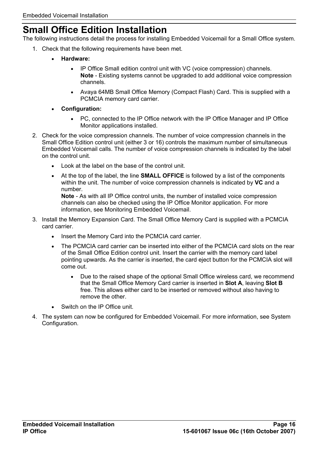# **Small Office Edition Installation**

The following instructions detail the process for installing Embedded Voicemail for a Small Office system.

- 1. Check that the following requirements have been met.
	- **Hardware:** 
		- IP Office Small edition control unit with VC (voice compression) channels. **Note** - Existing systems cannot be upgraded to add additional voice compression channels.
		- Avaya 64MB Small Office Memory (Compact Flash) Card. This is supplied with a PCMCIA memory card carrier.
	- **Configuration:** 
		- PC, connected to the IP Office network with the IP Office Manager and IP Office Monitor applications installed.
- 2. Check for the voice compression channels. The number of voice compression channels in the Small Office Edition control unit (either 3 or 16) controls the maximum number of simultaneous Embedded Voicemail calls. The number of voice compression channels is indicated by the label on the control unit.
	- Look at the label on the base of the control unit.
	- At the top of the label, the line **SMALL OFFICE** is followed by a list of the components within the unit. The number of voice compression channels is indicated by **VC** and a number.

**Note** - As with all IP Office control units, the number of installed voice compression channels can also be checked using the IP Office Monitor application. For more information, see Monitoring Embedded Voicemail.

- 3. Install the Memory Expansion Card. The Small Office Memory Card is supplied with a PCMCIA card carrier.
	- Insert the Memory Card into the PCMCIA card carrier.
	- The PCMCIA card carrier can be inserted into either of the PCMCIA card slots on the rear of the Small Office Edition control unit. Insert the carrier with the memory card label pointing upwards. As the carrier is inserted, the card eject button for the PCMCIA slot will come out.
		- Due to the raised shape of the optional Small Office wireless card, we recommend that the Small Office Memory Card carrier is inserted in **Slot A**, leaving **Slot B** free. This allows either card to be inserted or removed without also having to remove the other.
	- Switch on the IP Office unit.
- 4. The system can now be configured for Embedded Voicemail. For more information, see System Configuration.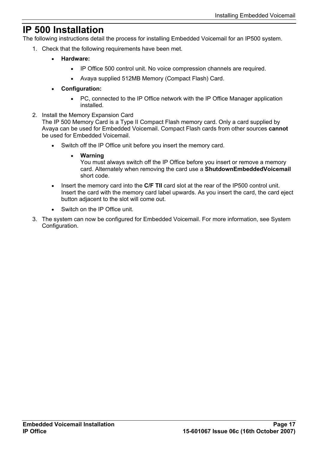# **IP 500 Installation**

The following instructions detail the process for installing Embedded Voicemail for an IP500 system.

- 1. Check that the following requirements have been met.
	- **Hardware:** 
		- IP Office 500 control unit. No voice compression channels are required.
		- Avaya supplied 512MB Memory (Compact Flash) Card.
	- **Configuration:** 
		- PC, connected to the IP Office network with the IP Office Manager application installed.
- 2. Install the Memory Expansion Card

The IP 500 Memory Card is a Type II Compact Flash memory card. Only a card supplied by Avaya can be used for Embedded Voicemail. Compact Flash cards from other sources **cannot** be used for Embedded Voicemail.

- Switch off the IP Office unit before you insert the memory card.
	- **Warning**

You must always switch off the IP Office before you insert or remove a memory card. Alternately when removing the card use a **ShutdownEmbeddedVoicemail** short code.

- Insert the memory card into the **C/F TII** card slot at the rear of the IP500 control unit. Insert the card with the memory card label upwards. As you insert the card, the card eject button adjacent to the slot will come out.
- Switch on the IP Office unit.
- 3. The system can now be configured for Embedded Voicemail. For more information, see System Configuration.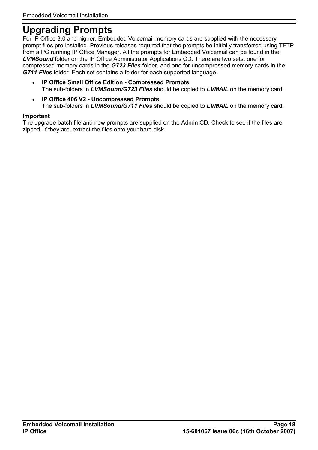# **Upgrading Prompts**

For IP Office 3.0 and higher, Embedded Voicemail memory cards are supplied with the necessary prompt files pre-installed. Previous releases required that the prompts be initially transferred using TFTP from a PC running IP Office Manager. All the prompts for Embedded Voicemail can be found in the *LVMSound* folder on the IP Office Administrator Applications CD. There are two sets, one for compressed memory cards in the *G723 Files* folder, and one for uncompressed memory cards in the *G711 Files* folder. Each set contains a folder for each supported language.

- **IP Office Small Office Edition Compressed Prompts** The sub-folders in *LVMSound/G723 Files* should be copied to *LVMAIL* on the memory card.
- **IP Office 406 V2 Uncompressed Prompts** The sub-folders in *LVMSound/G711 Files* should be copied to *LVMAIL* on the memory card.

#### **Important**

The upgrade batch file and new prompts are supplied on the Admin CD. Check to see if the files are zipped. If they are, extract the files onto your hard disk.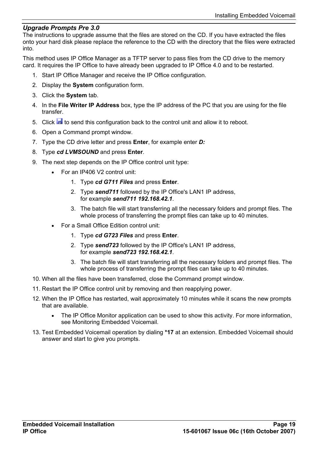#### *Upgrade Prompts Pre 3.0*

The instructions to upgrade assume that the files are stored on the CD. If you have extracted the files onto your hard disk please replace the reference to the CD with the directory that the files were extracted into.

This method uses IP Office Manager as a TFTP server to pass files from the CD drive to the memory card. It requires the IP Office to have already been upgraded to IP Office 4.0 and to be restarted.

- 1. Start IP Office Manager and receive the IP Office configuration.
- 2. Display the **System** configuration form.
- 3. Click the **System** tab.
- 4. In the **File Writer IP Address** box, type the IP address of the PC that you are using for the file transfer.
- 5. Click **to** to send this configuration back to the control unit and allow it to reboot.
- 6. Open a Command prompt window.
- 7. Type the CD drive letter and press **Enter**, for example enter *D:*
- 8. Type *cd LVMSOUND* and press **Enter**.
- 9. The next step depends on the IP Office control unit type:
	- For an IP406 V2 control unit:
		- 1. Type *cd G711 Files* and press **Enter**.
		- 2. Type *send711* followed by the IP Office's LAN1 IP address, for example *send711 192.168.42.1*.
		- 3. The batch file will start transferring all the necessary folders and prompt files. The whole process of transferring the prompt files can take up to 40 minutes.
	- For a Small Office Edition control unit:
		- 1. Type *cd G723 Files* and press **Enter**.
		- 2. Type *send723* followed by the IP Office's LAN1 IP address, for example *send723 192.168.42.1*.
		- 3. The batch file will start transferring all the necessary folders and prompt files. The whole process of transferring the prompt files can take up to 40 minutes.
- 10. When all the files have been transferred, close the Command prompt window.
- 11. Restart the IP Office control unit by removing and then reapplying power.
- 12. When the IP Office has restarted, wait approximately 10 minutes while it scans the new prompts that are available.
	- The IP Office Monitor application can be used to show this activity. For more information, see Monitoring Embedded Voicemail.
- 13. Test Embedded Voicemail operation by dialing **\*17** at an extension. Embedded Voicemail should answer and start to give you prompts.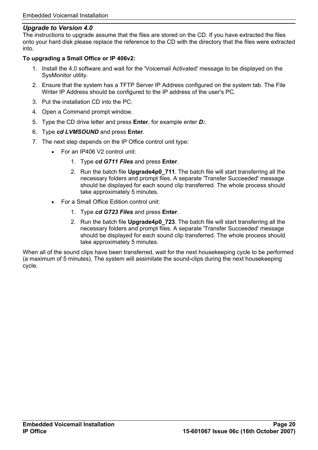#### *Upgrade to Version 4.0*

The instructions to upgrade assume that the files are stored on the CD. If you have extracted the files onto your hard disk please replace the reference to the CD with the directory that the files were extracted into.

#### **To upgrading a Small Office or IP 406v2:**

- 1. Install the 4.0 software and wait for the 'Voicemail Activated' message to be displayed on the SysMonitor utility.
- 2. Ensure that the system has a TFTP Server IP Address configured on the system tab. The File Writer IP Address should be configured to the IP address of the user's PC.
- 3. Put the installation CD into the PC.
- 4. Open a Command prompt window.
- 5. Type the CD drive letter and press **Enter**, for example enter *D:*.
- 6. Type *cd LVMSOUND* and press **Enter**.
- 7. The next step depends on the IP Office control unit type:
	- For an IP406 V2 control unit:
		- 1. Type *cd G711 Files* and press **Enter**.
		- 2. Run the batch file **Upgrade4p0\_711**. The batch file will start transferring all the necessary folders and prompt files. A separate 'Transfer Succeeded' message should be displayed for each sound clip transferred. The whole process should take approximately 5 minutes.
	- For a Small Office Edition control unit:
		- 1. Type *cd G723 Files* and press **Enter**.
		- 2. Run the batch file **Upgrade4p0\_723**. The batch file will start transferring all the necessary folders and prompt files. A separate 'Transfer Succeeded' message should be displayed for each sound clip transferred. The whole process should take approximately 5 minutes.

When all of the sound clips have been transferred, wait for the next housekeeping cycle to be performed (a maximum of 5 minutes). The system will assimilate the sound-clips during the next housekeeping cycle.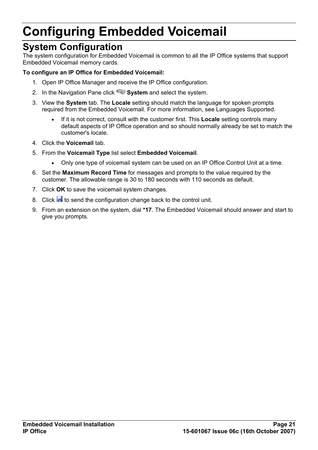# **Configuring Embedded Voicemail**

# **System Configuration**

The system configuration for Embedded Voicemail is common to all the IP Office systems that support Embedded Voicemail memory cards.

#### **To configure an IP Office for Embedded Voicemail:**

- 1. Open IP Office Manager and receive the IP Office configuration.
- 2. In the Navigation Pane click **System** and select the system.
- 3. View the **System** tab. The **Locale** setting should match the language for spoken prompts required from the Embedded Voicemail. For more information, see Languages Supported.
	- If it is not correct, consult with the customer first. This **Locale** setting controls many default aspects of IP Office operation and so should normally already be set to match the customer's locale.
- 4. Click the **Voicemail** tab.
- 5. From the **Voicemail Type** list select **Embedded Voicemail**.
	- Only one type of voicemail system can be used on an IP Office Control Unit at a time.
- 6. Set the **Maximum Record Time** for messages and prompts to the value required by the customer. The allowable range is 30 to 180 seconds with 110 seconds as default.
- 7. Click **OK** to save the voicemail system changes.
- 8. Click  $\blacksquare$  to send the configuration change back to the control unit.
- 9. From an extension on the system, dial **\*17**. The Embedded Voicemail should answer and start to give you prompts.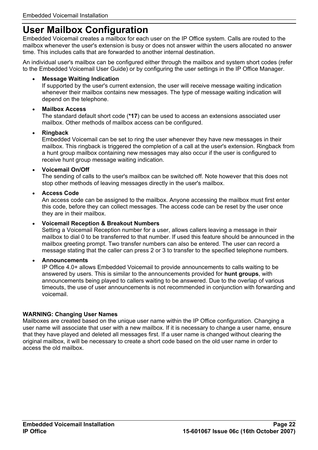# **User Mailbox Configuration**

Embedded Voicemail creates a mailbox for each user on the IP Office system. Calls are routed to the mailbox whenever the user's extension is busy or does not answer within the users allocated no answer time. This includes calls that are forwarded to another internal destination.

An individual user's mailbox can be configured either through the mailbox and system short codes (refer to the Embedded Voicemail User Guide) or by configuring the user settings in the IP Office Manager.

#### • **Message Waiting Indication**

If supported by the user's current extension, the user will receive message waiting indication whenever their mailbox contains new messages. The type of message waiting indication will depend on the telephone.

#### • **Mailbox Access**

The standard default short code (**\*17**) can be used to access an extensions associated user mailbox. Other methods of mailbox access can be configured.

#### • **Ringback**

Embedded Voicemail can be set to ring the user whenever they have new messages in their mailbox. This ringback is triggered the completion of a call at the user's extension. Ringback from a hunt group mailbox containing new messages may also occur if the user is configured to receive hunt group message waiting indication.

#### • **Voicemail On/Off**

The sending of calls to the user's mailbox can be switched off. Note however that this does not stop other methods of leaving messages directly in the user's mailbox.

#### • **Access Code**

An access code can be assigned to the mailbox. Anyone accessing the mailbox must first enter this code, before they can collect messages. The access code can be reset by the user once they are in their mailbox.

#### • **Voicemail Reception & Breakout Numbers**

Setting a Voicemail Reception number for a user, allows callers leaving a message in their mailbox to dial 0 to be transferred to that number. If used this feature should be announced in the mailbox greeting prompt. Two transfer numbers can also be entered. The user can record a message stating that the caller can press 2 or 3 to transfer to the specified telephone numbers.

#### • **Announcements**

IP Office 4.0+ allows Embedded Voicemail to provide announcements to calls waiting to be answered by users. This is similar to the announcements provided for **hunt groups**, with announcements being played to callers waiting to be answered. Due to the overlap of various timeouts, the use of user announcements is not recommended in conjunction with forwarding and voicemail.

#### **WARNING: Changing User Names**

Mailboxes are created based on the unique user name within the IP Office configuration. Changing a user name will associate that user with a new mailbox. If it is necessary to change a user name, ensure that they have played and deleted all messages first. If a user name is changed without clearing the original mailbox, it will be necessary to create a short code based on the old user name in order to access the old mailbox.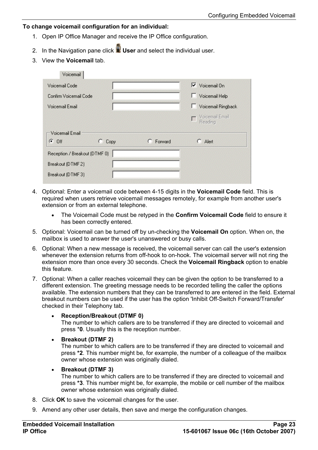#### **To change voicemail configuration for an individual:**

- 1. Open IP Office Manager and receive the IP Office configuration.
- 2. In the Navigation pane click **User** and select the individual user.
- 3. View the **Voicemail** tab.

| Voicemail Code         |  |                | Voicemail On            |  |
|------------------------|--|----------------|-------------------------|--|
| Confirm Voicemail Code |  | Voicemail Help |                         |  |
| Voicemail Email        |  |                | Voicemail Ringback<br>U |  |
|                        |  |                | Voicemail Email         |  |
|                        |  |                | Reading                 |  |
| Voicemail Email        |  |                |                         |  |

- 4. Optional: Enter a voicemail code between 4-15 digits in the **Voicemail Code** field. This is required when users retrieve voicemail messages remotely, for example from another user's extension or from an external telephone.
	- The Voicemail Code must be retyped in the **Confirm Voicemail Code** field to ensure it has been correctly entered.
- 5. Optional: Voicemail can be turned off by un-checking the **Voicemail On** option. When on, the mailbox is used to answer the user's unanswered or busy calls.
- 6. Optional: When a new message is received, the voicemail server can call the user's extension whenever the extension returns from off-hook to on-hook. The voicemail server will not ring the extension more than once every 30 seconds. Check the **Voicemail Ringback** option to enable this feature.
- 7. Optional: When a caller reaches voicemail they can be given the option to be transferred to a different extension. The greeting message needs to be recorded telling the caller the options available. The extension numbers that they can be transferred to are entered in the field. External breakout numbers can be used if the user has the option 'Inhibit Off-Switch Forward/Transfer' checked in their Telephony tab.

#### • **Reception/Breakout (DTMF 0)**

The number to which callers are to be transferred if they are directed to voicemail and press \***0**. Usually this is the reception number.

#### • **Breakout (DTMF 2)**

The number to which callers are to be transferred if they are directed to voicemail and press **\*2**. This number might be, for example, the number of a colleague of the mailbox owner whose extension was originally dialed.

#### • **Breakout (DTMF 3)**

The number to which callers are to be transferred if they are directed to voicemail and press **\*3**. This number might be, for example, the mobile or cell number of the mailbox owner whose extension was originally dialed.

- 8. Click **OK** to save the voicemail changes for the user.
- 9. Amend any other user details, then save and merge the configuration changes.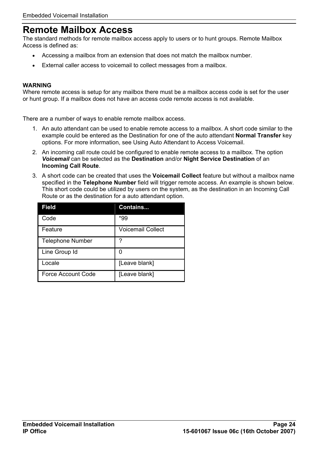# **Remote Mailbox Access**

The standard methods for remote mailbox access apply to users or to hunt groups. Remote Mailbox Access is defined as:

- Accessing a mailbox from an extension that does not match the mailbox number.
- External caller access to voicemail to collect messages from a mailbox.

#### **WARNING**

Where remote access is setup for any mailbox there must be a mailbox access code is set for the user or hunt group. If a mailbox does not have an access code remote access is not available.

There are a number of ways to enable remote mailbox access.

- 1. An auto attendant can be used to enable remote access to a mailbox. A short code similar to the example could be entered as the Destination for one of the auto attendant **Normal Transfer** key options. For more information, see Using Auto Attendant to Access Voicemail.
- 2. An incoming call route could be configured to enable remote access to a mailbox. The option *Voicemail* can be selected as the **Destination** and/or **Night Service Destination** of an **Incoming Call Route**.
- 3. A short code can be created that uses the **Voicemail Collect** feature but without a mailbox name specified in the **Telephone Number** field will trigger remote access. An example is shown below. This short code could be utilized by users on the system, as the destination in an Incoming Call Route or as the destination for a auto attendant option.

| <b>Field</b>              | Contains                 |
|---------------------------|--------------------------|
| Code                      | *99                      |
| Feature                   | <b>Voicemail Collect</b> |
| <b>Telephone Number</b>   | ?                        |
| Line Group Id             | 0                        |
| Locale                    | [Leave blank]            |
| <b>Force Account Code</b> | [Leave blank]            |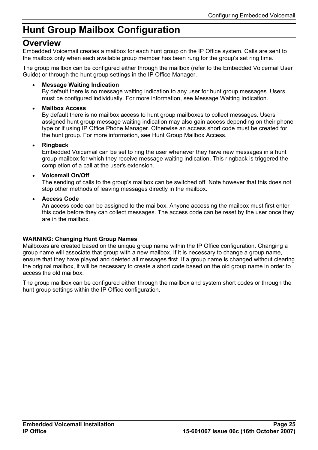# **Hunt Group Mailbox Configuration**

### **Overview**

Embedded Voicemail creates a mailbox for each hunt group on the IP Office system. Calls are sent to the mailbox only when each available group member has been rung for the group's set ring time.

The group mailbox can be configured either through the mailbox (refer to the Embedded Voicemail User Guide) or through the hunt group settings in the IP Office Manager.

#### • **Message Waiting Indication**

By default there is no message waiting indication to any user for hunt group messages. Users must be configured individually. For more information, see Message Waiting Indication.

#### • **Mailbox Access**

By default there is no mailbox access to hunt group mailboxes to collect messages. Users assigned hunt group message waiting indication may also gain access depending on their phone type or if using IP Office Phone Manager. Otherwise an access short code must be created for the hunt group. For more information, see Hunt Group Mailbox Access.

#### • **Ringback**

Embedded Voicemail can be set to ring the user whenever they have new messages in a hunt group mailbox for which they receive message waiting indication. This ringback is triggered the completion of a call at the user's extension.

#### • **Voicemail On/Off**

The sending of calls to the group's mailbox can be switched off. Note however that this does not stop other methods of leaving messages directly in the mailbox.

#### • **Access Code**

An access code can be assigned to the mailbox. Anyone accessing the mailbox must first enter this code before they can collect messages. The access code can be reset by the user once they are in the mailbox.

#### **WARNING: Changing Hunt Group Names**

Mailboxes are created based on the unique group name within the IP Office configuration. Changing a group name will associate that group with a new mailbox. If it is necessary to change a group name, ensure that they have played and deleted all messages first. If a group name is changed without clearing the original mailbox, it will be necessary to create a short code based on the old group name in order to access the old mailbox.

The group mailbox can be configured either through the mailbox and system short codes or through the hunt group settings within the IP Office configuration.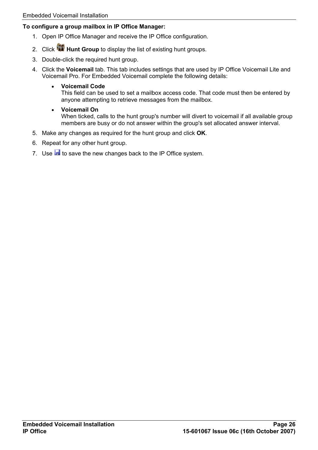#### **To configure a group mailbox in IP Office Manager:**

- 1. Open IP Office Manager and receive the IP Office configuration.
- 2. Click **Hunt Group** to display the list of existing hunt groups.
- 3. Double-click the required hunt group.
- 4. Click the **Voicemail** tab. This tab includes settings that are used by IP Office Voicemail Lite and Voicemail Pro. For Embedded Voicemail complete the following details:
	- **Voicemail Code**

This field can be used to set a mailbox access code. That code must then be entered by anyone attempting to retrieve messages from the mailbox.

- **Voicemail On** When ticked, calls to the hunt group's number will divert to voicemail if all available group members are busy or do not answer within the group's set allocated answer interval.
- 5. Make any changes as required for the hunt group and click **OK**.
- 6. Repeat for any other hunt group.
- 7. Use  $\mathbf{r}$  to save the new changes back to the IP Office system.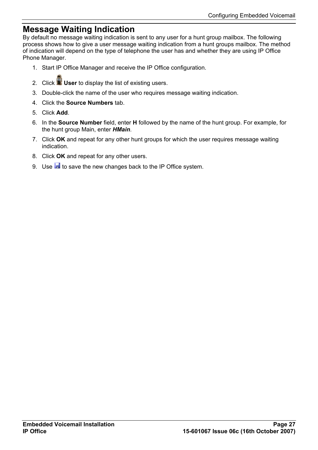### **Message Waiting Indication**

By default no message waiting indication is sent to any user for a hunt group mailbox. The following process shows how to give a user message waiting indication from a hunt groups mailbox. The method of indication will depend on the type of telephone the user has and whether they are using IP Office Phone Manager.

- 1. Start IP Office Manager and receive the IP Office configuration.
- 2. Click **User** to display the list of existing users.
- 3. Double-click the name of the user who requires message waiting indication.
- 4. Click the **Source Numbers** tab.
- 5. Click **Add**.
- 6. In the **Source Number** field, enter **H** followed by the name of the hunt group. For example, for the hunt group Main, enter *HMain*.
- 7. Click **OK** and repeat for any other hunt groups for which the user requires message waiting indication.
- 8. Click **OK** and repeat for any other users.
- 9. Use **the save the new changes back to the IP Office system.**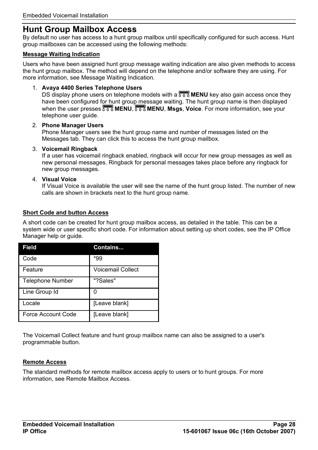### **Hunt Group Mailbox Access**

By default no user has access to a hunt group mailbox until specifically configured for such access. Hunt group mailboxes can be accessed using the following methods:

#### **Message Waiting Indication**

Users who have been assigned hunt group message waiting indication are also given methods to access the hunt group mailbox. The method will depend on the telephone and/or software they are using. For more information, see Message Waiting Indication.

#### 1. **Avaya 4400 Series Telephone Users**

DS display phone users on telephone models with a **MENU** key also gain access once they have been configured for hunt group message waiting. The hunt group name is then displayed when the user presses **MENU**, **MENU**, **MENU**, **Msgs**, **Voice**. For more information, see your telephone user guide.

#### 2. **Phone Manager Users**

Phone Manager users see the hunt group name and number of messages listed on the Messages tab. They can click this to access the hunt group mailbox.

#### 3. **Voicemail Ringback**

If a user has voicemail ringback enabled, ringback will occur for new group messages as well as new personal messages. Ringback for personal messages takes place before any ringback for new group messages.

#### 4. **Visual Voice**

If Visual Voice is available the user will see the name of the hunt group listed. The number of new calls are shown in brackets next to the hunt group name.

#### **Short Code and button Access**

A short code can be created for hunt group mailbox access, as detailed in the table. This can be a system wide or user specific short code. For information about setting up short codes, see the IP Office Manager help or guide.

| <b>Field</b>            | Contains                 |
|-------------------------|--------------------------|
| Code                    | *99                      |
| Feature                 | <b>Voicemail Collect</b> |
| <b>Telephone Number</b> | "?Sales"                 |
| Line Group Id           | 0                        |
| Locale                  | [Leave blank]            |
| Force Account Code      | [Leave blank]            |

The Voicemail Collect feature and hunt group mailbox name can also be assigned to a user's programmable button.

#### **Remote Access**

The standard methods for remote mailbox access apply to users or to hunt groups. For more information, see Remote Mailbox Access.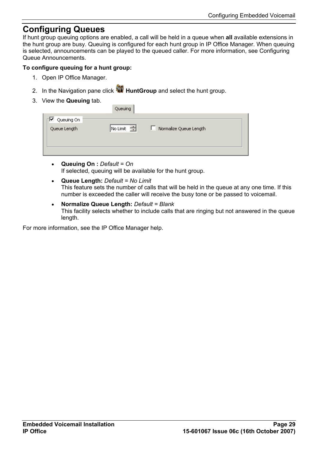### **Configuring Queues**

If hunt group queuing options are enabled, a call will be held in a queue when **all** available extensions in the hunt group are busy. Queuing is configured for each hunt group in IP Office Manager. When queuing is selected, announcements can be played to the queued caller. For more information, see Configuring Queue Announcements.

#### **To configure queuing for a hunt group:**

- 1. Open IP Office Manager.
- 2. In the Navigation pane click **HuntGroup** and select the hunt group.
- 3. View the **Queuing** tab.

|                            | Queuing        |                        |  |
|----------------------------|----------------|------------------------|--|
| Queuing On<br>Queue Length | No Limit $\pm$ | Normalize Queue Length |  |
|                            |                |                        |  |

- **Queuing On :** *Default = On* If selected, queuing will be available for the hunt group.
- **Queue Length:** *Default = No Limit* This feature sets the number of calls that will be held in the queue at any one time. If this number is exceeded the caller will receive the busy tone or be passed to voicemail.
- **Normalize Queue Length:** *Default = Blank* This facility selects whether to include calls that are ringing but not answered in the queue length.

For more information, see the IP Office Manager help.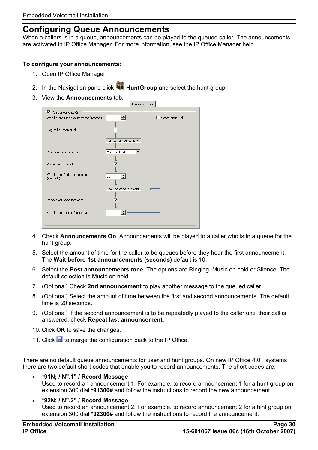### **Configuring Queue Announcements**

When a callers is in a queue, announcements can be played to the queued caller. The announcements are activated in IP Office Manager. For more information, see the IP Office Manager help.

#### **To configure your announcements:**

- 1. Open IP Office Manager.
- 2. In the Navigation pane click **HuntGroup** and select the hunt group.
- 3. View the **Announcements** tab.

|                                                                          |                       | Announcements |                   |
|--------------------------------------------------------------------------|-----------------------|---------------|-------------------|
| $\nabla$ Announcements On                                                |                       |               |                   |
|                                                                          |                       |               |                   |
| Wait before 1st announcement (seconds) $\begin{vmatrix} 1 \end{vmatrix}$ | ÷                     |               | Synchronise Calls |
|                                                                          |                       |               |                   |
| Flag call as answered                                                    |                       |               |                   |
|                                                                          | Play 1st announcement |               |                   |
|                                                                          |                       |               |                   |
| Post announcement tone                                                   | Music on hold         |               |                   |
|                                                                          |                       |               |                   |
| 2nd Announcement                                                         |                       |               |                   |
| Wait before 2nd announcement                                             |                       |               |                   |
| (seconds)                                                                | ÷<br>20               |               |                   |
|                                                                          |                       |               |                   |
|                                                                          | Play 2nd announcement |               |                   |
|                                                                          |                       |               |                   |
| Repeat last announcement                                                 |                       |               |                   |
|                                                                          |                       |               |                   |
| Wait before repeat (seconds)                                             | ÷<br>20               |               |                   |
|                                                                          |                       |               |                   |
|                                                                          |                       |               |                   |
|                                                                          |                       |               |                   |

- 4. Check **Announcements On**. Announcements will be played to a caller who is in a queue for the hunt group.
- 5. Select the amount of time for the caller to be queues before they hear the first announcement. The **Wait before 1st announcements (seconds)** default is 10.
- 6. Select the **Post announcements tone**. The options are Ringing, Music on hold or Silence. The default selection is Music on hold.
- 7. (Optional) Check **2nd announcement** to play another message to the queued caller.
- 8. (Optional) Select the amount of time between the first and second announcements. The default time is 20 seconds.
- 9. (Optional) If the second announcement is to be repeatedly played to the caller until their call is answered, check **Repeat last announcement**.
- 10. Click **OK** to save the changes.
- 11. Click  $\mathbf{r}$  to merge the configuration back to the IP Office.

There are no default queue announcements for user and hunt groups. On new IP Office 4.0+ systems there are two default short codes that enable you to record announcements. The short codes are:

- **\*91N; / N".1" / Record Message** Used to record an announcement 1. For example, to record announcement 1 for a hunt group on extension 300 dial **\*91300#** and follow the instructions to record the new announcement.
- **\*92N; / N".2" / Record Message** Used to record an announcement 2. For example, to record announcement 2 for a hint group on extension 300 dial **\*92300#** and follow the instructions to record the announcement.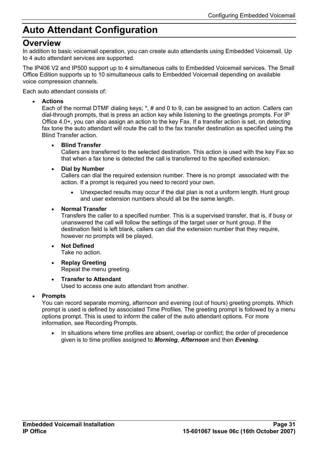# **Auto Attendant Configuration**

### **Overview**

In addition to basic voicemail operation, you can create auto attendants using Embedded Voicemail. Up to 4 auto attendant services are supported.

The IP406 V2 and IP500 support up to 4 simultaneous calls to Embedded Voicemail services. The Small Office Edition supports up to 10 simultaneous calls to Embedded Voicemail depending on available voice compression channels.

Each auto attendant consists of:

#### • **Actions**

Each of the normal DTMF dialing keys; \*, # and 0 to 9, can be assigned to an action. Callers can dial-through prompts, that is press an action key while listening to the greetings prompts. For IP Office 4.0+, you can also assign an action to the key Fax. If a transfer action is set, on detecting fax tone the auto attendant will route the call to the fax transfer destination as specified using the Blind Transfer action.

#### • **Blind Transfer**

Callers are transferred to the selected destination. This action is used with the key Fax so that when a fax tone is detected the call is transferred to the specified extension.

#### • **Dial by Number**

Callers can dial the required extension number. There is no prompt associated with the action. If a prompt is required you need to record your own.

Unexpected results may occur if the dial plan is not a uniform length. Hunt group and user extension numbers should all be the same length.

#### • **Normal Transfer**

Transfers the caller to a specified number. This is a supervised transfer, that is, if busy or unanswered the call will follow the settings of the target user or hunt group. If the destination field is left blank, callers can dial the extension number that they require, however no prompts will be played.

#### • **Not Defined**

Take no action.

• **Replay Greeting** Repeat the menu greeting.

#### • **Transfer to Attendant**

Used to access one auto attendant from another.

#### • **Prompts**

You can record separate morning, afternoon and evening (out of hours) greeting prompts. Which prompt is used is defined by associated Time Profiles. The greeting prompt is followed by a menu options prompt. This is used to inform the caller of the auto attendant options. For more information, see Recording Prompts.

• In situations where time profiles are absent, overlap or conflict; the order of precedence given is to time profiles assigned to *Morning*, *Afternoon* and then *Evening*.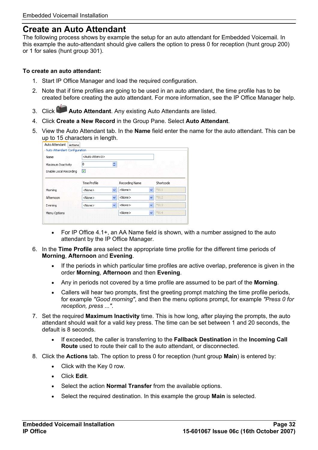### **Create an Auto Attendant**

The following process shows by example the setup for an auto attendant for Embedded Voicemail. In this example the auto-attendant should give callers the option to press 0 for reception (hunt group 200) or 1 for sales (hunt group 301).

#### **To create an auto attendant:**

- 1. Start IP Office Manager and load the required configuration.
- 2. Note that if time profiles are going to be used in an auto attendant, the time profile has to be created before creating the auto attendant. For more information, see the IP Office Manager help.
- 3. Click **Auto Attendant**. Any existing Auto Attendants are listed.
- 4. Click **Create a New Record** in the Group Pane. Select **Auto Attendant**.
- 5. View the Auto Attendant tab. In the **Name** field enter the name for the auto attendant. This can be up to 15 characters in length.

| Name                   | <auto atten:0=""></auto> |                          |                |              |           |
|------------------------|--------------------------|--------------------------|----------------|--------------|-----------|
| Maximum Inactivity     | 18                       | ×                        |                |              |           |
| Enable Local Recording | ☑                        |                          |                |              |           |
|                        | <b>Time Profile</b>      |                          | Recording Name |              | Shortcode |
|                        | <none></none>            | $\overline{\phantom{a}}$ | <none></none>  | $\checkmark$ | $*311$    |
|                        |                          |                          |                |              |           |
| Morning<br>Afternoon   | <none></none>            | $\checkmark$             | <none></none>  | $\checkmark$ | *812      |
| Evening                | <none></none>            | $\checkmark$             | <none></none>  | $\checkmark$ | *813      |

- For IP Office 4.1+, an AA Name field is shown, with a number assigned to the auto attendant by the IP Office Manager.
- 6. In the **Time Profile** area select the appropriate time profile for the different time periods of **Morning**, **Afternoon** and **Evening**.
	- If the periods in which particular time profiles are active overlap, preference is given in the order **Morning**, **Afternoon** and then **Evening**.
	- Any in periods not covered by a time profile are assumed to be part of the **Morning**.
	- Callers will hear two prompts, first the greeting prompt matching the time profile periods, for example *"Good morning"*, and then the menu options prompt, for example *"Press 0 for reception, press ..."*.
- 7. Set the required **Maximum Inactivity** time. This is how long, after playing the prompts, the auto attendant should wait for a valid key press. The time can be set between 1 and 20 seconds, the default is 8 seconds.
	- If exceeded, the caller is transferring to the **Fallback Destination** in the **Incoming Call Route** used to route their call to the auto attendant, or disconnected.
- 8. Click the **Actions** tab. The option to press 0 for reception (hunt group **Main**) is entered by:
	- Click with the Key 0 row.
	- Click **Edit**.
	- Select the action **Normal Transfer** from the available options.
	- Select the required destination. In this example the group **Main** is selected.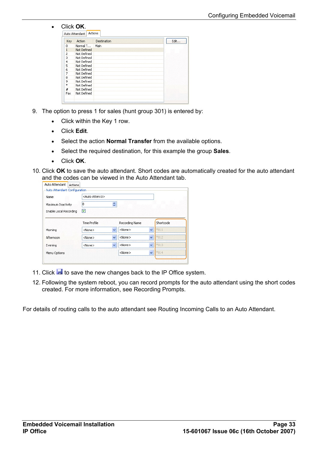• Click **OK**.

| Key            | Action      | Destination | Edit |
|----------------|-------------|-------------|------|
| $\Omega$       | Normal T    | Main        |      |
| $\mathbf{1}$   | Not Defined |             |      |
| $\overline{2}$ | Not Defined |             |      |
| 3              | Not Defined |             |      |
| 4              | Not Defined |             |      |
| 5              | Not Defined |             |      |
| 6              | Not Defined |             |      |
| 7              | Not Defined |             |      |
| 8              | Not Defined |             |      |
| 9              | Not Defined |             |      |
| *              | Not Defined |             |      |
| #              | Not Defined |             |      |
| Fax            | Not Defined |             |      |

- 9. The option to press 1 for sales (hunt group 301) is entered by:
	- Click within the Key 1 row.
	- Click **Edit**.
	- Select the action **Normal Transfer** from the available options.
	- Select the required destination, for this example the group **Sales**.
	- Click **OK**.
- 10. Click **OK** to save the auto attendant. Short codes are automatically created for the auto attendant and the codes can be viewed in the Auto Attendant tab.

| Name                   | <auto atten:0=""></auto> |              |                |              |           |
|------------------------|--------------------------|--------------|----------------|--------------|-----------|
| Maximum Inactivity     | 18                       | A<br>v       |                |              |           |
| Enable Local Recording | ☑                        |              |                |              |           |
|                        | <b>Time Profile</b>      |              | Recording Name |              | Shortcode |
| Morning                | <none></none>            | v            | <none></none>  | v            | *811      |
| Afternoon              | <none></none>            | $\checkmark$ | <none></none>  | v            | *812      |
| Evening                | <none></none>            | $\checkmark$ | <none></none>  | $\checkmark$ | *813      |
| Menu Options           |                          |              | <none></none>  | $\ddotmark$  | *814      |

- 11. Click **b** to save the new changes back to the IP Office system.
- 12. Following the system reboot, you can record prompts for the auto attendant using the short codes created. For more information, see Recording Prompts.

For details of routing calls to the auto attendant see Routing Incoming Calls to an Auto Attendant.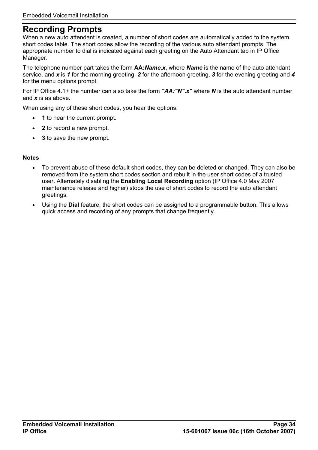### **Recording Prompts**

When a new auto attendant is created, a number of short codes are automatically added to the system short codes table. The short codes allow the recording of the various auto attendant prompts. The appropriate number to dial is indicated against each greeting on the Auto Attendant tab in IP Office Manager.

The telephone number part takes the form **AA:***Name***.***x*, where *Name* is the name of the auto attendant service, and *x* is *1* for the morning greeting, *2* for the afternoon greeting, *3* for the evening greeting and *4* for the menu options prompt.

For IP Office 4.1+ the number can also take the form *"AA:"N".x"* where *N* is the auto attendant number and *x* is as above.

When using any of these short codes, you hear the options:

- 1 to hear the current prompt.
- **2** to record a new prompt.
- **3** to save the new prompt.

#### **Notes**

- To prevent abuse of these default short codes, they can be deleted or changed. They can also be removed from the system short codes section and rebuilt in the user short codes of a trusted user. Alternately disabling the **Enabling Local Recording** option (IP Office 4.0 May 2007 maintenance release and higher) stops the use of short codes to record the auto attendant greetings.
- Using the **Dial** feature, the short codes can be assigned to a programmable button. This allows quick access and recording of any prompts that change frequently.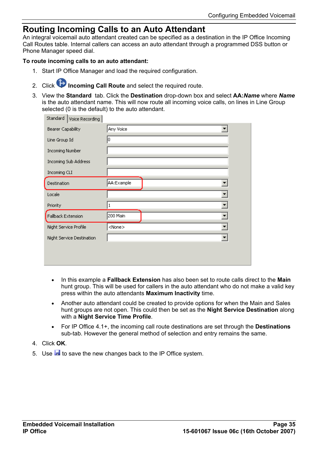## **Routing Incoming Calls to an Auto Attendant**

An integral voicemail auto attendant created can be specified as a destination in the IP Office Incoming Call Routes table. Internal callers can access an auto attendant through a programmed DSS button or Phone Manager speed dial.

#### **To route incoming calls to an auto attendant:**

 $\sim$   $\sim$   $\sim$   $\sim$ 

- 1. Start IP Office Manager and load the required configuration.
- 2. Click **Incoming Call Route** and select the required route.
- 3. View the **Standard** tab. Click the **Destination** drop-down box and select **AA:***Name* where *Name* is the auto attendant name. This will now route all incoming voice calls, on lines in Line Group selected (0 is the default) to the auto attendant.

| standard<br>  Voice Recording |               |  |  |
|-------------------------------|---------------|--|--|
| Bearer Capability             | Any Voice     |  |  |
| Line Group Id                 | Įо            |  |  |
| <b>Incoming Number</b>        |               |  |  |
| Incoming Sub Address          |               |  |  |
| Incoming CLI                  |               |  |  |
| Destination                   | AA:Example    |  |  |
| Locale                        |               |  |  |
| Priority                      | 1             |  |  |
| Fallback Extension            | 200 Main      |  |  |
| Night Service Profile         | <none></none> |  |  |
| Night Service Destination     |               |  |  |
|                               |               |  |  |
|                               |               |  |  |
|                               |               |  |  |

- In this example a **Fallback Extension** has also been set to route calls direct to the **Main** hunt group. This will be used for callers in the auto attendant who do not make a valid key press within the auto attendants **Maximum Inactivity** time.
- Another auto attendant could be created to provide options for when the Main and Sales hunt groups are not open. This could then be set as the **Night Service Destination** along with a **Night Service Time Profile**.
- For IP Office 4.1+, the incoming call route destinations are set through the **Destinations** sub-tab. However the general method of selection and entry remains the same.
- 4. Click **OK**.
- 5. Use **the same the new changes back to the IP Office system.**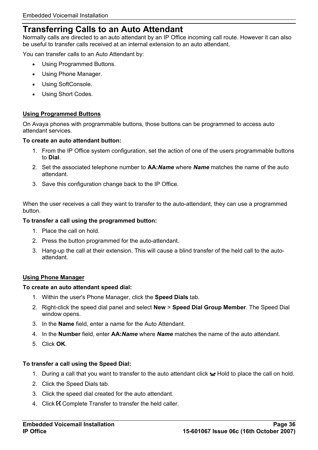### **Transferring Calls to an Auto Attendant**

Normally calls are directed to an auto attendant by an IP Office incoming call route. However it can also be useful to transfer calls received at an internal extension to an auto attendant.

You can transfer calls to an Auto Attendant by:

- Using Programmed Buttons.
- Using Phone Manager.
- Using SoftConsole.
- Using Short Codes.

#### **Using Programmed Buttons**

On Avaya phones with programmable buttons, those buttons can be programmed to access auto attendant services.

#### **To create an auto attendant button:**

- 1. From the IP Office system configuration, set the action of one of the users programmable buttons to **Dial**.
- 2. Set the associated telephone number to **AA:***Name* where *Name* matches the name of the auto attendant.
- 3. Save this configuration change back to the IP Office.

When the user receives a call they want to transfer to the auto-attendant, they can use a programmed button.

#### **To transfer a call using the programmed button:**

- 1. Place the call on hold.
- 2. Press the button programmed for the auto-attendant.
- 3. Hang-up the call at their extension. This will cause a blind transfer of the held call to the autoattendant.

#### **Using Phone Manager**

#### **To create an auto attendant speed dial:**

- 1. Within the user's Phone Manager, click the **Speed Dials** tab.
- 2. Right-click the speed dial panel and select **New** > **Speed Dial Group Member**. The Speed Dial window opens.
- 3. In the **Name** field, enter a name for the Auto Attendant.
- 4. In the **Number** field, enter **AA:***Name* where *Name* matches the name of the auto attendant.
- 5. Click **OK**.

#### **To transfer a call using the Speed Dial:**

- 1. During a call that you want to transfer to the auto attendant click  $\blacktriangleright$  Hold to place the call on hold.
- 2. Click the Speed Dials tab.
- 3. Click the speed dial created for the auto attendant.
- 4. Click <sup>M</sup> Complete Transfer to transfer the held caller.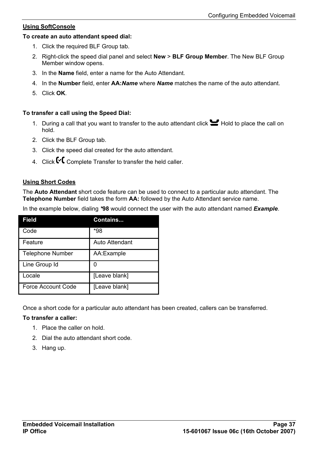#### **Using SoftConsole**

#### **To create an auto attendant speed dial:**

- 1. Click the required BLF Group tab.
- 2. Right-click the speed dial panel and select **New** > **BLF Group Member**. The New BLF Group Member window opens.
- 3. In the **Name** field, enter a name for the Auto Attendant.
- 4. In the **Number** field, enter **AA:***Name* where *Name* matches the name of the auto attendant.
- 5. Click **OK**.

#### **To transfer a call using the Speed Dial:**

- 1. During a call that you want to transfer to the auto attendant click  $\blacktriangleright$  Hold to place the call on hold.
- 2. Click the BLF Group tab.
- 3. Click the speed dial created for the auto attendant.
- 4. Click  $\mathsf{C} \mathsf{C}$  Complete Transfer to transfer the held caller.

#### **Using Short Codes**

The **Auto Attendant** short code feature can be used to connect to a particular auto attendant. The **Telephone Number** field takes the form **AA:** followed by the Auto Attendant service name.

In the example below, dialing *\****98** would connect the user with the auto attendant named *Example*.

| <b>Field</b>              | Contains       |
|---------------------------|----------------|
| Code                      | *98            |
| Feature                   | Auto Attendant |
| <b>Telephone Number</b>   | AA:Example     |
| Line Group Id             | O              |
| Locale                    | [Leave blank]  |
| <b>Force Account Code</b> | [Leave blank]  |

Once a short code for a particular auto attendant has been created, callers can be transferred.

#### **To transfer a caller:**

- 1. Place the caller on hold.
- 2. Dial the auto attendant short code.
- 3. Hang up.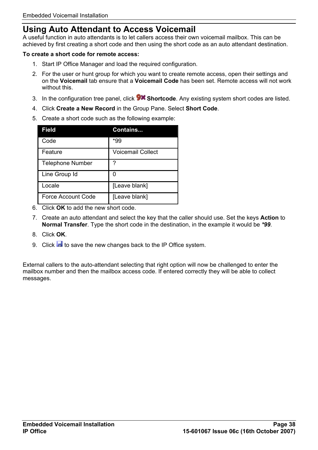### **Using Auto Attendant to Access Voicemail**

A useful function in auto attendants is to let callers access their own voicemail mailbox. This can be achieved by first creating a short code and then using the short code as an auto attendant destination.

#### **To create a short code for remote access:**

- 1. Start IP Office Manager and load the required configuration.
- 2. For the user or hunt group for which you want to create remote access, open their settings and on the **Voicemail** tab ensure that a **Voicemail Code** has been set. Remote access will not work without this.
- 3. In the configuration tree panel, click **Shortcode**. Any existing system short codes are listed.
- 4. Click **Create a New Record** in the Group Pane. Select **Short Code**.
- 5. Create a short code such as the following example:

| <b>Field</b>              | <b>Contains</b>          |
|---------------------------|--------------------------|
| Code                      | *99                      |
| Feature                   | <b>Voicemail Collect</b> |
| <b>Telephone Number</b>   | ?                        |
| Line Group Id             |                          |
| Locale                    | [Leave blank]            |
| <b>Force Account Code</b> | [Leave blank]            |

- 6. Click **OK** to add the new short code.
- 7. Create an auto attendant and select the key that the caller should use. Set the keys **Action** to **Normal Transfer**. Type the short code in the destination, in the example it would be *\*99*.
- 8. Click **OK**.
- 9. Click  $\blacksquare$  to save the new changes back to the IP Office system.

External callers to the auto-attendant selecting that right option will now be challenged to enter the mailbox number and then the mailbox access code. If entered correctly they will be able to collect messages.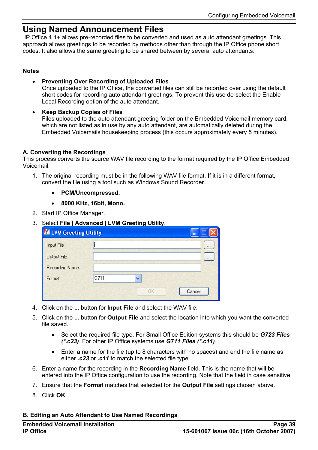### **Using Named Announcement Files**

 IP Office 4.1+ allows pre-recorded files to be converted and used as auto attendant greetings. This approach allows greetings to be recorded by methods other than through the IP Office phone short codes. It also allows the same greeting to be shared between by several auto attendants.

#### **Notes**

#### • **Preventing Over Recording of Uploaded Files**

Once uploaded to the IP Office, the converted files can still be recorded over using the default short codes for recording auto attendant greetings. To prevent this use de-select the Enable Local Recording option of the auto attendant.

#### • **Keep Backup Copies of Files**

Files uploaded to the auto attendant greeting folder on the Embedded Voicemail memory card, which are not listed as in use by any auto attendant, are automatically deleted during the Embedded Voicemails housekeeping process (this occurs approximately every 5 minutes).

#### **A. Converting the Recordings**

This process converts the source WAV file recording to the format required by the IP Office Embedded Voicemail.

- 1. The original recording must be in the following WAV file format. If it is in a different format, convert the file using a tool such as Windows Sound Recorder.
	- **PCM/Uncompressed.**
	- **8000 KHz, 16bit, Mono.**
- 2. Start IP Office Manager.

#### 3. Select **File | Advanced | LVM Greeting Utility**.

| <b>LI LVM Greeting Utility</b> |      |           |        |
|--------------------------------|------|-----------|--------|
| <b>Input File</b>              |      |           |        |
| <b>Output File</b>             |      |           |        |
| <b>Recording Name</b>          |      |           |        |
| Format                         | G711 |           |        |
|                                |      | <b>DK</b> | Cancel |

- 4. Click on the **...** button for **Input File** and select the WAV file.
- 5. Click on the **...** button for **Output File** and select the location into which you want the converted file saved.
	- Select the required file type. For Small Office Edition systems this should be *G723 Files (\*.c23)*. For other IP Office systems use *G711 Files (\*.c11)*.
	- Enter a name for the file (up to 8 characters with no spaces) and end the file name as either *.c23* or *.c11* to match the selected file type.
- 6. Enter a name for the recording in the **Recording Name** field. This is the name that will be entered into the IP Office configuration to use the recording. Note that the field in case sensitive.
- 7. Ensure that the **Format** matches that selected for the **Output File** settings chosen above.
- 8. Click **OK**.

#### **B. Editing an Auto Attendant to Use Named Recordings**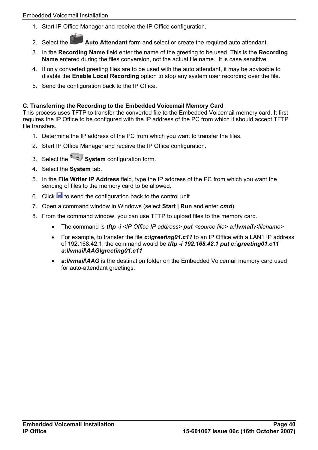- 1. Start IP Office Manager and receive the IP Office configuration.
- 2. Select the **Auto Attendant** form and select or create the required auto attendant.
- 3. In the **Recording Name** field enter the name of the greeting to be used. This is the **Recording Name** entered during the files conversion, not the actual file name. It is case sensitive.
- 4. If only converted greeting files are to be used with the auto attendant, it may be advisable to disable the **Enable Local Recording** option to stop any system user recording over the file.
- 5. Send the configuration back to the IP Office.

#### **C. Transferring the Recording to the Embedded Voicemail Memory Card**

This process uses TFTP to transfer the converted file to the Embedded Voicemail memory card. It first requires the IP Office to be configured with the IP address of the PC from which it should accept TFTP file transfers.

- 1. Determine the IP address of the PC from which you want to transfer the files.
- 2. Start IP Office Manager and receive the IP Office configuration.
- 3. Select the **System** configuration form.
- 4. Select the **System** tab.
- 5. In the **File Writer IP Address** field, type the IP address of the PC from which you want the sending of files to the memory card to be allowed.
- 6. Click  $\mathbf{F}$  to send the configuration back to the control unit.
- 7. Open a command window in Windows (select **Start | Run** and enter *cmd*).
- 8. From the command window, you can use TFTP to upload files to the memory card.
	- The command is *tftp -i <IP Office IP address> put <source file> a:\lvmail\<filename>*
	- For example, to transfer the file *c:\greeting01.c11* to an IP Office with a LAN1 IP address of 192.168.42.1, the command would be *tftp -i 192.168.42.1 put c:\greeting01.c11 a:\lvmail\AAG\greeting01.c11*
	- **a:\Ivmail\AAG** is the destination folder on the Embedded Voicemail memory card used for auto-attendant greetings.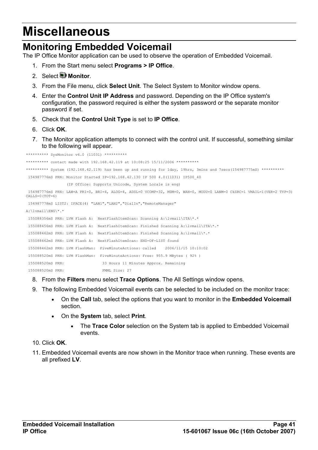# **Miscellaneous**

# **Monitoring Embedded Voicemail**

The IP Office Monitor application can be used to observe the operation of Embedded Voicemail.

- 1. From the Start menu select **Programs > IP Office**.
- 2. Select **Monitor**.
- 3. From the File menu, click **Select Unit**. The Select System to Monitor window opens.
- 4. Enter the **Control Unit IP Address** and password. Depending on the IP Office system's configuration, the password required is either the system password or the separate monitor password if set.
- 5. Check that the **Control Unit Type** is set to **IP Office**.
- 6. Click **OK**.
- 7. The Monitor application attempts to connect with the control unit. If successful, something similar to the following will appear.

```
********** SysMonitor v6.0 (11031) **********
```

```
********** contact made with 192.168.42.119 at 10:08:25 15/11/2006 **********
```
\*\*\*\*\*\*\*\*\*\* System (192.168.42.119) has been up and running for 1day, 19hrs, 3mins and 7secs(154987775mS) \*\*\*\*\*\*\*\*\*\*

```
 154987776mS PRN: Monitor Started IP=192.168.42.130 IP 500 4.0(11031) IP500_40
```

```
 (IP Office: Supports Unicode, System Locale is eng)
```
 154987776mS PRN: LAW=A PRI=0, BRI=4, ALOG=4, ADSL=0 VCOMP=32, MDM=0, WAN=0, MODU=0 LANM=0 CkSRC=1 VMAIL=1(VER=2 TYP=3)  $CAT.LS=0$  (TOT=6)

```
 154987778mS LIST2: IFACE(4) "LAN1","LAN2","DialIn","RemoteManager"
```

```
A:\lvmail\ENG\*.*
```

```
 155088356mS PRN: LVM Flash A: NextFlashItemScan: Scanning A:\lvmail\ITA\*.* 
155088456mS PRN: LVM Flash A: NextFlashItemScan: Finished Scanning A:\lvmail\ITA\*.* 
155088462mS PRN: LVM Flash A: NextFlashItemScan: Finished Scanning A:\lvmail\*.* 
155088462mS PRN: LVM Flash A: NextFlashItemScan: END-OF-LIST found 
155088462mS PRN: LVM FlashMan: FiveMinuteActions: called 2006/11/15 10:10:02 
155088520mS PRN: LVM FlashMan: FiveMinuteActions: Free: 955.9 MBytes ( 92% ) 
155088520mS PRN: 33 Hours 11 Minutes Approx. Remaining 
155088520mS PRN: FMML Size: 27
```
- 8. From the **Filters** menu select **Trace Options**. The All Settings window opens.
- 9. The following Embedded Voicemail events can be selected to be included on the monitor trace:
	- On the **Call** tab, select the options that you want to monitor in the **Embedded Voicemail** section.
	- On the **System** tab, select **Print**.
		- The **Trace Color** selection on the System tab is applied to Embedded Voicemail events.
- 10. Click **OK**.
- 11. Embedded Voicemail events are now shown in the Monitor trace when running. These events are all prefixed **LV**.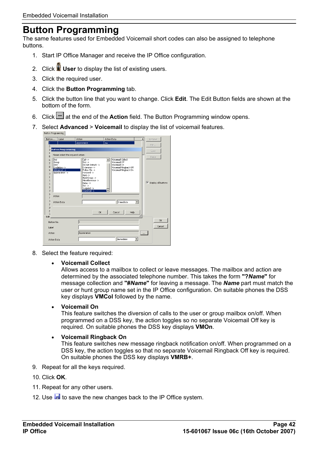# **Button Programming**

The same features used for Embedded Voicemail short codes can also be assigned to telephone buttons.

- 1. Start IP Office Manager and receive the IP Office configuration.
- 2. Click **User** to display the list of existing users.
- 3. Click the required user.
- 4. Click the **Button Programming** tab.
- 5. Click the button line that you want to change. Click **Edit**. The Edit Button fields are shown at the bottom of the form.
- 6. Click at the end of the **Action** field. The Button Programming window opens.
- 7. Select **Advanced** > **Voicemail** to display the list of voicemail features.

|                                           | Button Programming                 |                                   |                                         |                          |
|-------------------------------------------|------------------------------------|-----------------------------------|-----------------------------------------|--------------------------|
| Button                                    | Label                              | Action                            | Action Data                             | Remove                   |
| 1                                         |                                    | Appearance                        | $a =$                                   | Edit                     |
| $\overline{c}$                            | <b>Button Programming</b>          |                                   |                                         |                          |
| 3<br>$\ddot{\bf{4}}$                      |                                    |                                   |                                         | Copy                     |
| 5                                         | Please select the required action: |                                   |                                         | Paste                    |
| 6                                         | IDial<br>Group                     | Call ><br>$Dial - >$              | Voicemail Collect<br>۸<br>Voicemail Off |                          |
| 7<br>8                                    | User<br>Emulation ->               | Do Not Disturb -><br>Extension -> | Voicemail On<br>Voicemail Ringback Off  |                          |
| 9                                         | Advanced ->                        | Follow Me ->                      | Voicemail Ringback On                   |                          |
| $\overline{1}$<br>$\mathbf{1}$            | Appearance ->                      | Forward -><br>Hold ->             |                                         |                          |
| $\mathbf{1}$                              |                                    | HuntGroup -><br>Miscellaneous ->  |                                         |                          |
| $\mathbf{1}$                              |                                    | Relay -><br>Set ->                |                                         | E<br>Display all buttons |
| 1 <sub>1</sub><br>1!                      |                                    | Suspend -><br>Voicemail ->        | ۰                                       |                          |
| $\overline{1}$                            |                                    |                                   |                                         |                          |
| $\mathbf{1}^{\prime}$                     | Action                             |                                   |                                         |                          |
| $\mathbf{1}$<br>$1^{\circ}$               | <b>Action Data</b>                 |                                   | Immediate<br>$\overline{\phantom{a}}$   |                          |
| $\overline{2}$                            |                                    |                                   |                                         |                          |
| $\overline{c}$<br>$\overline{\mathbf{r}}$ |                                    | <b>OK</b>                         | Help<br>Cancel                          |                          |
| Edit                                      |                                    |                                   | M                                       |                          |
|                                           | Button No.                         | 1                                 |                                         | OK                       |
| Label                                     |                                    |                                   |                                         | Cancel                   |
| Action                                    |                                    | Appearance                        |                                         |                          |
|                                           |                                    |                                   |                                         | $\sim$ 100 $\pm$         |
|                                           | Action Data                        |                                   | Immediate<br>$\blacksquare$             |                          |
|                                           |                                    |                                   |                                         |                          |

8. Select the feature required:

#### • **Voicemail Collect**

Allows access to a mailbox to collect or leave messages. The mailbox and action are determined by the associated telephone number. This takes the form **"?***Name***"** for message collection and **"#***Name***"** for leaving a message. The *Name* part must match the user or hunt group name set in the IP Office configuration. On suitable phones the DSS key displays **VMCol** followed by the name.

• **Voicemail On**

This feature switches the diversion of calls to the user or group mailbox on/off. When programmed on a DSS key, the action toggles so no separate Voicemail Off key is required. On suitable phones the DSS key displays **VMOn**.

• **Voicemail Ringback On**

This feature switches new message ringback notification on/off. When programmed on a DSS key, the action toggles so that no separate Voicemail Ringback Off key is required. On suitable phones the DSS key displays **VMRB+**.

- 9. Repeat for all the keys required.
- 10. Click **OK**.
- 11. Repeat for any other users.
- 12. Use  $\mathbf{r}$  to save the new changes back to the IP Office system.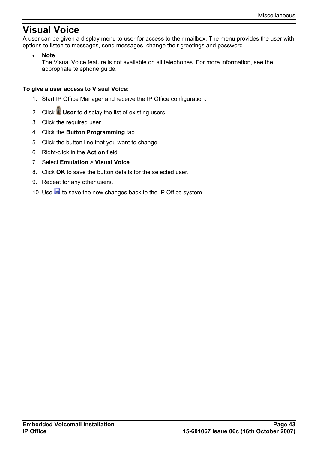# **Visual Voice**

A user can be given a display menu to user for access to their mailbox. The menu provides the user with options to listen to messages, send messages, change their greetings and password.

• **Note**

The Visual Voice feature is not available on all telephones. For more information, see the appropriate telephone guide.

#### **To give a user access to Visual Voice:**

- 1. Start IP Office Manager and receive the IP Office configuration.
- 2. Click **User** to display the list of existing users.
- 3. Click the required user.
- 4. Click the **Button Programming** tab.
- 5. Click the button line that you want to change.
- 6. Right-click in the **Action** field.
- 7. Select **Emulation** > **Visual Voice**.
- 8. Click **OK** to save the button details for the selected user.
- 9. Repeat for any other users.
- 10. Use  $\mathbb H$  to save the new changes back to the IP Office system.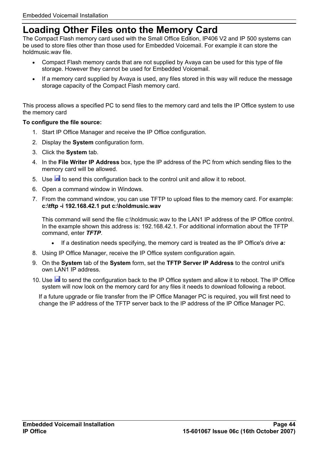# **Loading Other Files onto the Memory Card**

The Compact Flash memory card used with the Small Office Edition, IP406 V2 and IP 500 systems can be used to store files other than those used for Embedded Voicemail. For example it can store the holdmusic.wav file.

- Compact Flash memory cards that are not supplied by Avaya can be used for this type of file storage. However they cannot be used for Embedded Voicemail.
- If a memory card supplied by Avaya is used, any files stored in this way will reduce the message storage capacity of the Compact Flash memory card.

This process allows a specified PC to send files to the memory card and tells the IP Office system to use the memory card

#### **To configure the file source:**

- 1. Start IP Office Manager and receive the IP Office configuration.
- 2. Display the **System** configuration form.
- 3. Click the **System** tab.
- 4. In the **File Writer IP Address** box, type the IP address of the PC from which sending files to the memory card will be allowed.
- 5. Use  $\mathbf{F}$  to send this configuration back to the control unit and allow it to reboot.
- 6. Open a command window in Windows.
- 7. From the command window, you can use TFTP to upload files to the memory card. For example: **c:\tftp -i 192.168.42.1 put c:\holdmusic.wav**

This command will send the file c:\holdmusic.wav to the LAN1 IP address of the IP Office control. In the example shown this address is: 192.168.42.1. For additional information about the TFTP command, enter *TFTP*.

- If a destination needs specifying, the memory card is treated as the IP Office's drive *a:*
- 8. Using IP Office Manager, receive the IP Office system configuration again.
- 9. On the **System** tab of the **System** form, set the **TFTP Server IP Address** to the control unit's own LAN1 IP address.
- 10. Use **the to send the configuration back to the IP Office system and allow it to reboot. The IP Office** system will now look on the memory card for any files it needs to download following a reboot.

If a future upgrade or file transfer from the IP Office Manager PC is required, you will first need to change the IP address of the TFTP server back to the IP address of the IP Office Manager PC.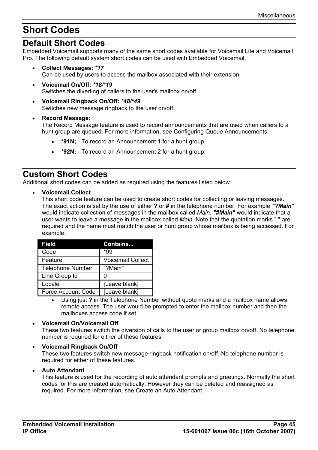# **Short Codes**

### **Default Short Codes**

Embedded Voicemail supports many of the same short codes available for Voicemail Lite and Voicemail Pro. The following default system short codes can be used with Embedded Voicemail.

- **Collect Messages:** *\*17* Can be used by users to access the mailbox associated with their extension.
- **Voicemail On/Off:** *\*18/\*19* Switches the diverting of callers to the user's mailbox on/off.
- **Voicemail Ringback On/Off:** *\*48/\*49* Switches new message ringback to the user on/off.
- **Record Message:**

The Record Message feature is used to record announcements that are used when callers to a hunt group are queued. For more information, see Configuring Queue Announcements.

- **\*91N;** To record an Announcement 1 for a hunt group.
- **\*92N;** To record an Announcement 2 for a hunt group.

### **Custom Short Codes**

Additional short codes can be added as required using the features listed below.

• **Voicemail Collect**

This short code feature can be used to create short codes for collecting or leaving messages. The exact action is set by the use of either **?** or **#** in the telephone number. For example *"?Main"* would indicate collection of messages in the mailbox called *Main*. *"#Main"* would indicate that a user wants to leave a message in the mailbox called *Main*. Note that the quotation marks " " are required and the name must match the user or hunt group whose mailbox is being accessed. For example:

| <b>Field</b>              | <b>Contains</b>   |
|---------------------------|-------------------|
| Code                      | *99               |
| Feature                   | Voicemail Collect |
| <b>Telephone Number</b>   | "?Main"           |
| Line Group Id             |                   |
| Locale                    | [Leave blank]     |
| <b>Force Account Code</b> | [Leave blank]     |

• Using just **?** in the Telephone Number without quote marks and a mailbox name allows remote access. The user would be prompted to enter the mailbox number and then the mailboxes access code if set.

#### • **Voicemail On/Voicemail Off**

These two features switch the diversion of calls to the user or group mailbox on/off. No telephone number is required for either of these features.

#### • **Voicemail Ringback On/Off**

These two features switch new message ringback notification on/off. No telephone number is required for either of these features.

#### • **Auto Attendant**

This feature is used for the recording of auto attendant prompts and greetings. Normally the short codes for this are created automatically. However they can be deleted and reassigned as required. For more information, see Create an Auto Attendant.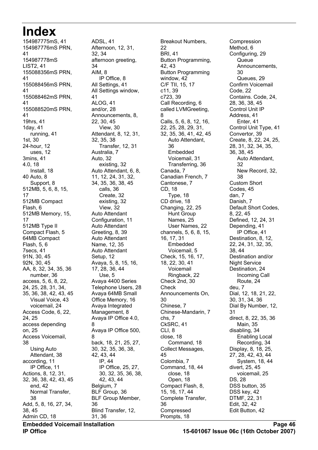# **Index**

154987775mS, 41 154987776mS PRN, 41 154987778mS LIST2, 41 155088356mS PRN, 41 155088456mS PRN, 41 155088462mS PRN, 41 155088520mS PRN, 41 19hrs, 41 1day, 41 running, 41 1st, 30 24-hour, 12 uses, 12 3mins, 41 4.0, 18 Install, 18 40 Auto, 8 Support, 8 512MB, 5, 6, 8, 15, 17 512MB Compact Flash, 6 512MB Memory, 15, 17 512MB Type II Compact Flash, 5 64MB Compact Flash, 5, 6 7secs, 41 91N, 30, 45 92N, 30, 45 AA, 8, 32, 34, 35, 36 number, 36 access, 5, 6, 8, 22, 24, 25, 28, 31, 34, 35, 36, 38, 42, 43, 45 Visual Voice, 43 voicemail, 24 Access Code, 6, 22, 24, 25 access depending on, 25 Access Voicemail, 38 Using Auto Attendant, 38 according, 11 IP Office, 11 Actions, 8, 12, 31, 32, 36, 38, 42, 43, 45 end, 42 Normal Transfer, 38 Add, 5, 8, 16, 27, 34, 38, 45 Admin CD, 18

ADSL, 41 Afternoon, 12, 31, 32, 34 afternoon greeting, 34 AIM, 8 IP Office, 8 All Settings, 41 All Settings window, 41 ALOG, 41 and/or, 28 Announcements, 8, 22, 30, 45 View, 30 Attendant, 8, 12, 31, 32, 35, 38 Transfer, 12, 31 Australia, 7 Auto, 32 existing, 32 Auto Attendant, 6, 8, 11, 12, 24, 31, 32, 34, 35, 36, 38, 45 calls, 36 Create, 32 existing, 32 View, 32 Auto Attendant Configuration, 11 Auto Attendant Greeting, 8, 39 Auto Attendant Name, 12, 35 Auto Attendant Setup, 12 Avaya, 5, 8, 15, 16, 17, 28, 36, 44 Use, 5 Avaya 4400 Series Telephone Users, 28 Avaya 64MB Small Office Memory, 16 Avaya Integrated Management, 8 Avaya IP Office 4.0, 8 Avaya IP Office 500, 8 back, 18, 21, 25, 27, 30, 32, 35, 36, 38, 42, 43, 44 IP, 44 IP Office, 25, 27, 30, 32, 35, 36, 38, 42, 43, 44 Belgium, 7 BLF Group, 36 BLF Group Member, 36 Blind Transfer, 12, 31, 36

Breakout Numbers, 22 BRI, 41 Button Programming, 42, 43 Button Programming window, 42 C/F TII, 15, 17 c11, 39 c723, 39 Call Recording, 6 called LVMGreeting, 8 Calls, 5, 6, 8, 12, 16, 22, 25, 28, 29, 31, 32, 35, 36, 41, 42, 45 Auto Attendant, 36 Embedded Voicemail, 31 Transferring, 36 Canada, 7 Canadian French, 7 Cantonese, 7 CD, 18 Type, 18 CD drive, 18 Changing, 22, 25 Hunt Group Names, 25 User Names, 22 channels, 5, 6, 8, 15, 16, 17, 31 Embedded Voicemail, 5 Check, 15, 16, 17, 18, 22, 30, 41 Voicemail Ringback, 22 Check 2nd, 30 **Check** Announcements On, 30 Chinese, 7 Chinese-Mandarin, 7 chs, 7 CkSRC, 41 CLI, 8 close, 18 Command, 18 Collect Messages, 45 Colombia, 7 Command, 18, 44 close, 18 Open, 18 Compact Flash, 8, 15, 16, 17, 44 Complete Transfer, 36 Compressed Prompts, 18

Compression Method, 6 Configuring, 29 Queue Announcements, 30 Queues, 29 Confirm Voicemail Code, 22 Contains. Code, 24, 28, 36, 38, 45 Control Unit IP Address, 41 Enter, 41 Control Unit Type, 41 Convertor, 39 Create, 8, 22, 24, 25, 28, 31, 32, 34, 35, 36, 38, 45 Auto Attendant, 32 New Record, 32, 38 Custom Short Codes, 45 dan, 7 Danish, 7 Default Short Codes, 8, 22, 45 Defined, 12, 24, 31 Depending, 41 IP Office, 41 Destination, 8, 12, 22, 24, 31, 32, 35, 38, 44 Destination and/or Night Service Destination, 24 Incoming Call Route, 24 deu, 7 Dial, 12, 18, 21, 22, 30, 31, 34, 36 Dial By Number, 12, 31 direct, 8, 22, 35, 36 Main, 35 disabling, 34 Enabling Local Recording, 34 Display, 8, 18, 25, 27, 28, 42, 43, 44 System, 18, 44 divert, 25, 45 voicemail, 25 DS, 28 DSS button, 35 DSS key, 42 DTMF, 22, 31 Edit, 32, 42 Edit Button, 42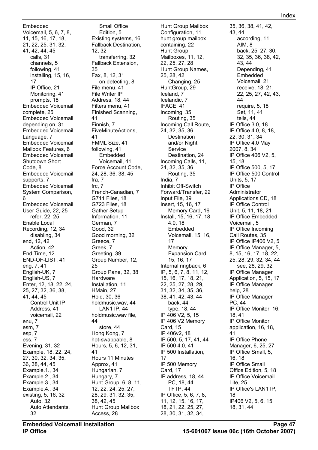Embedded Voicemail, 5, 6, 7, 8, 11, 15, 16, 17, 18, 21, 22, 25, 31, 32, 41, 42, 44, 45 calls, 31 channels, 5 following, 41 installing, 15, 16, 17 IP Office, 21 Monitoring, 41 prompts, 18 Embedded Voicemail complete, 25 Embedded Voicemail depending on, 31 Embedded Voicemail Language, 7 Embedded Voicemail Mailbox Features, 6 Embedded Voicemail Shutdown Short Code, 8 Embedded Voicemail supports, 7 Embedded Voicemail System Comparison, 6 Embedded Voicemail User Guide, 22, 25 refer, 22, 25 Enable Local Recording, 12, 34 disabling, 34 end, 12, 42 Action, 42 End Time, 12 END-OF-LIST, 41 eng, 7, 41 English-UK, 7 English-US, 7 Enter, 12, 18, 22, 24, 25, 27, 32, 36, 38, 41, 44, 45 Control Unit IP Address, 41 voicemail, 22 enu, 7 esm, 7 esp, 7 ess, 7 Evening, 31, 32 Example, 18, 22, 24, 27, 30, 32, 34, 35, 36, 38, 44, 45 Example.1., 34 Example.2., 34 Example.3., 34 Example.4., 34 existing, 5, 16, 32 Auto, 32 Auto Attendants, 32

Small Office Edition, 5 Existing systems, 16 Fallback Destination, 12, 32 transferring, 32 Fallback Extension,  $35$ Fax, 8, 12, 31 on detecting, 8 File menu, 41 File Writer IP Address, 18, 44 Filters menu, 41 Finished Scanning, 41 Finnish, 7 FiveMinuteActions, 41 FMML Size, 41 following, 41 Embedded Voicemail, 41 Force Account Code, 24, 28, 36, 38, 45 fra, 7 frc, 7 French-Canadian, 7 G711 Files, 18 G723 Files, 18 Gather Setup Information, 11 German, 7 Good, 32 Good morning, 32 Greece, 7 Greek, 7 Greeting, 39 Group Number, 12, 25 Group Pane, 32, 38 Hardware Installation, 11 HMain, 27 Hold, 30, 36 holdmusic.wav, 44 LAN1 IP, 44 holdmusic.wav file, 44 store, 44 Hong Kong, 7 hot-swappable, 8 Hours, 5, 6, 12, 31, 41 Hours 11 Minutes Approx, 41 Hungarian, 7 Hungary, 7 Hunt Group, 6, 8, 11, 12, 22, 24, 25, 27, 28, 29, 31, 32, 35, 38, 42, 45 Hunt Group Mailbox Access, 28

Hunt Group Mailbox Configuration, 11 hunt group mailbox containing, 22 Hunt Group Mailboxes, 11, 12, 22, 25, 27, 28 Hunt Group Names, 25, 28, 42 Changing, 25 HuntGroup, 29 Iceland, 7 Icelandic, 7 IFACE, 41 Incoming, 35 Routing, 35 Incoming Call Route, 24, 32, 35, 36 **Destination** and/or Night Service Destination, 24 Incoming Calls, 11, 24, 32, 35, 36 Routing, 35 India, 7 Inhibit Off-Switch Forward/Transfer, 22 Input File, 39 Insert, 15, 16, 17 Memory Card, 16 Install, 15, 16, 17, 18 4.0, 18 Embedded Voicemail, 15, 16, 17 Memory Expansion Card, 15, 16, 17 Internal ringback, 6 IP, 5, 6, 7, 8, 11, 12, 15, 16, 17, 18, 21, 22, 25, 27, 28, 29, 31, 32, 34, 35, 36, 38, 41, 42, 43, 44 back, 44 type, 18, 44 IP 406 V2, 5, 15 IP 406 V2 Memory Card, 15 IP 406v2, 18 IP 500, 5, 17, 41, 44 IP 500 4.0, 41 IP 500 Installation, 17 IP 500 Memory Card, 17 IP address, 18, 44 PC, 18, 44 TFTP, 44 IP Office, 5, 6, 7, 8, 11, 12, 15, 16, 17, 18, 21, 22, 25, 27, 28, 30, 31, 32, 34,

35, 36, 38, 41, 42, 43, 44 according, 11 AIM, 8 back, 25, 27, 30, 32, 35, 36, 38, 42, 43, 44 Depending, 41 Embedded Voicemail, 21 receive, 18, 21, 22, 25, 27, 42, 43, 44 require, 5, 18 Set, 11, 41 tells, 44 IP Office 3.0, 18 IP Office 4.0, 8, 18, 22, 30, 31, 34 IP Office 4.0 May 2007, 8, 34 IP Office 406 V2, 5, 15, 18 IP Office 500, 5, 17 IP Office 500 Control Units, 5, 17 IP Office Administrator Applications CD, 18 IP Office Control Unit, 5, 11, 18, 21 IP Office Embedded Voicemail, 5 IP Office Incoming Call Routes, 35 IP Office IP406 V2, 5 IP Office Manager, 5, 8, 15, 16, 17, 18, 22, 25, 28, 29, 32, 34, 44 see, 28, 29, 32 IP Office Manager Application, 5, 15, 17 IP Office Manager help, 28 IP Office Manager PC, 44 IP Office Monitor, 16, 18, 41 IP Office Monitor application, 16, 18, 41 IP Office Phone Manager, 6, 25, 27 IP Office Small, 5, 16, 18 IP Office Small Office Edition, 5, 18 IP Office Voicemail Lite, 25 IP Office's LAN1 IP, 18 IP406 V2, 5, 6, 15, 18, 31, 44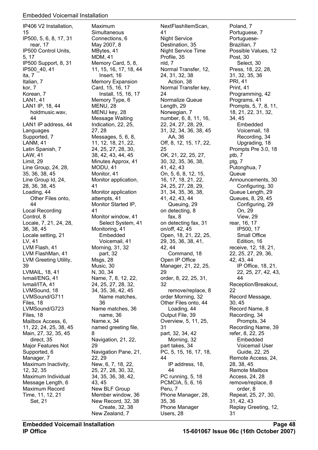#### Embedded Voicemail Installation

IP406 V2 Installation, 15 IP500, 5, 6, 8, 17, 31 rear, 17 IP500 Control Units, 5, 17 IP500 Support, 8, 31 IP500\_40, 41 ita, 7 Italian, 7 kor, 7 Korean, 7 LAN1, 41 LAN1 IP, 18, 44 holdmusic.wav, 44 LAN1 IP address, 44 Languages Supported, 7 LANM, 41 Latin Spanish, 7 LAW, 41 Limit, 29 Line Group, 24, 28, 35, 36, 38, 45 Line Group Id, 24, 28, 36, 38, 45 Loading, 44 Other Files onto, 44 Local Recording Control, 8 Locale, 7, 21, 24, 28, 36, 38, 45 Locale setting, 21 LV, 41 LVM Flash, 41 LVM FlashMan, 41 LVM Greeting Utility, 39 LVMAIL, 18, 41 lvmail/ENG, 41 lvmail/ITA, 41 LVMSound, 18 LVMSound/G711 Files, 18 LVMSound/G723 Files, 18 Mailbox Access, 6, 11, 22, 24, 25, 38, 45 Main, 27, 32, 35, 45 direct, 35 Major Features Not Supported, 6 Manager, 7 Maximum Inactivity, 12, 32, 35 Maximum Individual Message Length, 6 Maximum Record Time, 11, 12, 21 Set, 21

Maximum **Simultaneous** Connections, 6 May 2007, 8 MBytes, 41 MDM, 41 Memory Card, 5, 8, 11, 15, 16, 17, 18, 44 Insert, 16 Memory Expansion Card, 15, 16, 17 Install, 15, 16, 17 Memory Type, 6 MENU, 28 MENU key, 28 Message Waiting Indication, 22, 25, 27, 28 Messages, 5, 6, 8, 11, 12, 18, 21, 22, 24, 25, 27, 28, 30, 38, 42, 43, 44, 45 Minutes Approx, 41 MODU, 41 Monitor, 41 Monitor application, 41 Monitor application attempts, 41 Monitor Started IP, 41 Monitor window, 41 Select System, 41 Monitoring, 41 Embedded Voicemail, 41 Morning, 31, 32 part, 32 Msgs, 28 Music, 30 N, 30, 34 Name, 7, 8, 12, 22, 24, 25, 27, 28, 32, 34, 35, 36, 42, 45 Name matches, 36 Name matches, 36 name, 36 Name.x, 34 named greeting file, 8 Navigation, 21, 22, 29 Navigation Pane, 21, 22, 29 New, 6, 7, 18, 22, 25, 27, 28, 30, 32, 34, 35, 36, 38, 42, 43, 45 New BLF Group Member window, 36 New Record, 32, 38 Create, 32, 38 New Zealand, 7

NextFlashItemScan, 41 Night Service Destination, 35 Night Service Time Profile, 35 nld, 7 Normal Transfer, 12, 24, 31, 32, 38 Action, 38 Normal Transfer key,  $24$ Normalize Queue Length, 29 Norwegian, 7 number, 6, 8, 11, 16, 22, 24, 27, 28, 29, 31, 32, 34, 36, 38, 45 AA, 36 Off, 8, 12, 15, 17, 22, 25 OK, 21, 22, 25, 27, 30, 32, 35, 36, 38, 41, 42, 43 On, 5, 6, 8, 12, 15, 16, 17, 18, 21, 22, 24, 25, 27, 28, 29, 31, 34, 35, 36, 38, 41, 42, 43, 44 Queuing, 29 on detecting, 8 fax, 8 on detecting fax, 31 on/off, 42, 45 Open, 18, 21, 22, 25, 29, 35, 36, 38, 41, 42, 44 Command, 18 Open IP Office Manager, 21, 22, 25, 29 order, 8, 22, 25, 31, 32 remove/replace, 8 order Morning, 32 Other Files onto, 44 Loading, 44 Output File, 39 Overview, 5, 11, 25, 31 part, 32, 34, 42 Morning, 32 part takes, 34 PC, 5, 15, 16, 17, 18, 44 IP address, 18, 44 PC running, 5, 18 PCMCIA, 5, 6, 16 Peru, 7 Phone Manager, 28, 35, 36 Phone Manager Users, 28

Poland, 7 Portuguese, 7 Portuguese-Brazilian, 7 Possible Values, 12 Post, 30 Select, 30 Press, 18, 22, 28, 31, 32, 35, 36 PRI, 41 Print, 41 Programming, 42 Programs, 41 Prompts, 5, 7, 8, 11, 18, 21, 22, 31, 32, 34, 45 Embedded Voicemail, 18 Recording, 34 Upgrading, 18 Prompts Pre 3.0, 18 ptb, 7 ptg, 7 Putonghua, 7 **Queue** Announcements, 30 Configuring, 30 Queue Length, 29 Queues, 8, 29, 45 Configuring, 29 On, 29 View, 29 rear, 16, 17 IP500, 17 Small Office Edition, 16 receive, 12, 18, 21, 22, 25, 27, 29, 36, 42, 43, 44 IP Office, 18, 21, 22, 25, 27, 42, 43, 44 Reception/Breakout, 22 Record Message, 30, 45 Record Name, 8 Recording, 34 Prompts, 34 Recording Name, 39 refer, 8, 22, 25 Embedded Voicemail User Guide, 22, 25 Remote Access, 24, 28, 38, 45 Remote Mailbox Access, 24, 28 remove/replace, 8 order, 8 Repeat, 25, 27, 30, 31, 42, 43 Replay Greeting, 12, 31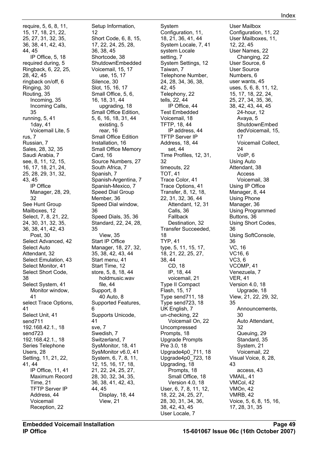require, 5, 6, 8, 11, 15, 17, 18, 21, 22, 25, 27, 31, 32, 35, 36, 38, 41, 42, 43, 44, 45 IP Office, 5, 18 required during, 5 Ringback, 6, 22, 25, 28, 42, 45 ringback on/off, 6 Ringing, 30 Routing, 35 Incoming, 35 Incoming Calls, 35 running, 5, 41 1day, 41 Voicemail Lite, 5 rus, 7 Russian, 7 Sales, 28, 32, 35 Saudi Arabia, 7 see, 8, 11, 12, 15, 16, 17, 18, 21, 24, 25, 28, 29, 31, 32, 43, 45 IP Office Manager, 28, 29, 32 See Hunt Group Mailboxes, 12 Select, 7, 8, 21, 22, 24, 30, 31, 32, 35, 36, 38, 41, 42, 43 Post, 30 Select Advanced, 42 Select Auto Attendant, 32 Select Emulation, 43 Select Monitor, 41 Select Short Code, 38 Select System, 41 Monitor window, 41 select Trace Options, 41 Select Unit, 41 send711 192.168.42.1., 18 send723 192.168.42.1., 18 Series Telephone Users, 28 Setting, 11, 21, 22, 41, 44 IP Office, 11, 41 Maximum Record Time, 21 TFTP Server IP Address, 44 Voicemail Reception, 22

Setup Information, 12 Short Code, 6, 8, 15, 17, 22, 24, 25, 28, 36, 38, 45 Shortcode, 38 ShutdownEmbedded Voicemail, 15, 17 use, 15, 17 Silence, 30 Slot, 15, 16, 17 Small Office, 5, 6, 16, 18, 31, 44 upgrading, 18 Small Office Edition, 5, 6, 16, 18, 31, 44 existing, 5 rear, 16 Small Office Edition Installation, 16 Small Office Memory Card, 16 Source Numbers, 27 South Africa, 7 Spanish, 7 Spanish-Argentina, 7 Spanish-Mexico, 7 Speed Dial Group Member, 36 Speed Dial window, 36 Speed Dials, 35, 36 Standard, 22, 24, 28, 35 View, 35 Start IP Office Manager, 18, 27, 32, 35, 38, 42, 43, 44 Start menu, 41 Start Time, 12 store, 5, 8, 18, 44 holdmusic.wav file, 44 Support, 8 40 Auto, 8 Supported Features, 6 Supports Unicode, 41 sve, 7 Swedish, 7 Switzerland, 7 SysMonitor, 18, 41 SysMonitor v6.0, 41 System, 6, 7, 8, 11, 12, 15, 16, 17, 18, 21, 22, 24, 25, 27, 28, 30, 32, 34, 35, 36, 38, 41, 42, 43, 44, 45 Display, 18, 44 View, 21

System Configuration, 11, 18, 21, 36, 41, 44 System Locale, 7, 41 system Locale setting, 7 System Settings, 12 Taiwan, 7 Telephone Number, 24, 28, 34, 36, 38, 42, 45 Telephony, 22 tells, 22, 44 IP Office, 44 Test Embedded Voicemail, 18 TFTP, 18, 44 IP address, 44 TFTP Server IP Address, 18, 44 set, 44 Time Profiles, 12, 31, 32 timeouts, 22 TOT, 41 Trace Color, 41 Trace Options, 41 Transfer, 8, 12, 18, 22, 31, 32, 36, 44 Attendant, 12, 31 Calls, 36 Fallback Destination, 32 Transfer Succeeded, 18 TYP, 41 type, 5, 11, 15, 17, 18, 21, 22, 25, 27, 38, 44 CD, 18 IP, 18, 44 voicemail, 21 Type II Compact Flash, 15, 17 Type send711, 18 Type send723, 18 UK English, 7 un-checking, 22 Voicemail On, 22 Uncompressed Prompts, 18 Upgrade Prompts Pre 3.0, 18 Upgrade4p0\_711, 18 Upgrade4p0\_723, 18 Upgrading, 18 Prompts, 18 Small Office, 18 Version 4.0, 18 User, 6, 7, 8, 11, 12, 18, 22, 24, 25, 27, 28, 30, 31, 34, 36, 38, 42, 43, 45

User Locale, 7

User Mailbox Configuration, 11, 22 User Mailboxes, 11, 12, 22, 45 User Names, 22 Changing, 22 User Source, 6 User Source Numbers, 6 user wants, 45 uses, 5, 6, 8, 11, 12, 15, 17, 18, 22, 24, 25, 27, 34, 35, 36, 38, 42, 43, 44, 45 24-hour, 12 Avaya, 5 ShutdownEmbed dedVoicemail, 15, 17 Voicemail Collect, 24 VoIP, 6 Using Auto Attendant, 38 Access Voicemail, 38 Using IP Office Manager, 8, 44 Using Phone Manager, 36 Using Programmed Buttons, 36 Using Short Codes, 36 Using SoftConsole, 36 VC, 16 VC16, 6 VC3, 6 VCOMP, 41 Venezuela, 7 VER, 41 Version 4.0, 18 Upgrade, 18 View, 21, 22, 29, 32, 35 Announcements, 30 Auto Attendant, 32 Queuing, 29 Standard, 35 System, 21 Voicemail, 22 Visual Voice, 8, 28, 43 access, 43 VMAIL, 41 VMCol, 42 VMOn, 42 VMRB, 42 Voice, 5, 6, 8, 15, 16, 17, 28, 31, 35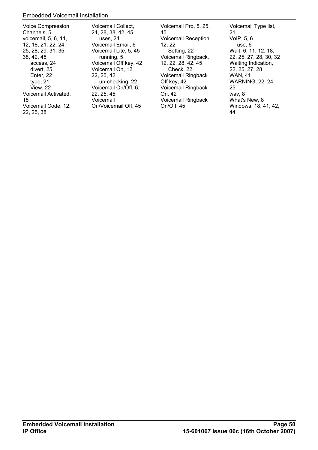#### Embedded Voicemail Installation

| <b>Voice Compression</b><br>Channels, 5<br>voicemail, 5, 6, 11,<br>12, 18, 21, 22, 24,<br>25, 28, 29, 31, 35,<br>38.42.45<br>access, 24<br>divert, 25<br>Enter, 22<br>type, 21<br>View, 22 |
|--------------------------------------------------------------------------------------------------------------------------------------------------------------------------------------------|
| Voicemail Activated,                                                                                                                                                                       |
| 18                                                                                                                                                                                         |
| Voicemail Code, 12,<br>22, 25, 38                                                                                                                                                          |

Voicemail Collect, 24, 28, 38, 42, 45 uses, 24 Voicemail Email, 6 Voicemail Lite, 5, 45 running, 5 Voicemail Off key, 42 Voicemail On, 12, 22, 25, 42 un-checking, 22 Voicemail On/Off, 6, 22, 25, 45 Voicemail On/Voicemail Off, 45

Voicemail Pro, 5, 25, 45 Voicemail Reception, 12, 22 Setting, 22 Voicemail Ringback, 12, 22, 28, 42, 45 Check, 22 Voicemail Ringback Off key, 42 Voicemail Ringback On, 42 Voicemail Ringback On/Off, 45

Voicemail Type list, 21 VoIP, 5, 6 use, 6 Wait, 6, 11, 12, 18, 22, 25, 27, 28, 30, 32 Waiting Indication, 22, 25, 27, 28 WAN, 41 WARNING, 22, 24, 25 wav, 8 What's New, 8 Windows, 18, 41, 42, 44